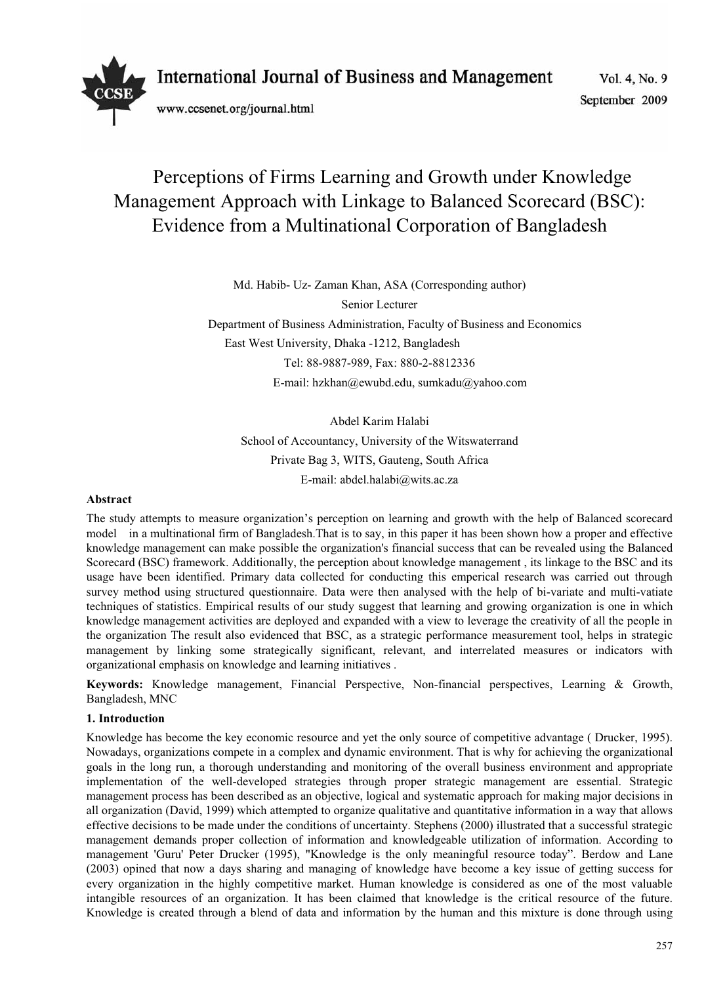

www.ccsenet.org/journal.html

Vol. 4, No. 9 September 2009

# Perceptions of Firms Learning and Growth under Knowledge Management Approach with Linkage to Balanced Scorecard (BSC): Evidence from a Multinational Corporation of Bangladesh

Md. Habib- Uz- Zaman Khan, ASA (Corresponding author) Senior Lecturer Department of Business Administration, Faculty of Business and Economics East West University, Dhaka -1212, Bangladesh Tel: 88-9887-989, Fax: 880-2-8812336 E-mail: hzkhan@ewubd.edu, sumkadu@yahoo.com

Abdel Karim Halabi

School of Accountancy, University of the Witswaterrand

Private Bag 3, WITS, Gauteng, South Africa

E-mail: abdel.halabi@wits.ac.za

# **Abstract**

The study attempts to measure organization's perception on learning and growth with the help of Balanced scorecard model in a multinational firm of Bangladesh.That is to say, in this paper it has been shown how a proper and effective knowledge management can make possible the organization's financial success that can be revealed using the Balanced Scorecard (BSC) framework. Additionally, the perception about knowledge management , its linkage to the BSC and its usage have been identified. Primary data collected for conducting this emperical research was carried out through survey method using structured questionnaire. Data were then analysed with the help of bi-variate and multi-vatiate techniques of statistics. Empirical results of our study suggest that learning and growing organization is one in which knowledge management activities are deployed and expanded with a view to leverage the creativity of all the people in the organization The result also evidenced that BSC, as a strategic performance measurement tool, helps in strategic management by linking some strategically significant, relevant, and interrelated measures or indicators with organizational emphasis on knowledge and learning initiatives .

**Keywords:** Knowledge management, Financial Perspective, Non-financial perspectives, Learning & Growth, Bangladesh, MNC

# **1. Introduction**

Knowledge has become the key economic resource and yet the only source of competitive advantage ( Drucker, 1995). Nowadays, organizations compete in a complex and dynamic environment. That is why for achieving the organizational goals in the long run, a thorough understanding and monitoring of the overall business environment and appropriate implementation of the well-developed strategies through proper strategic management are essential. Strategic management process has been described as an objective, logical and systematic approach for making major decisions in all organization (David, 1999) which attempted to organize qualitative and quantitative information in a way that allows effective decisions to be made under the conditions of uncertainty. Stephens (2000) illustrated that a successful strategic management demands proper collection of information and knowledgeable utilization of information. According to management 'Guru' Peter Drucker (1995), "Knowledge is the only meaningful resource today". Berdow and Lane (2003) opined that now a days sharing and managing of knowledge have become a key issue of getting success for every organization in the highly competitive market. Human knowledge is considered as one of the most valuable intangible resources of an organization. It has been claimed that knowledge is the critical resource of the future. Knowledge is created through a blend of data and information by the human and this mixture is done through using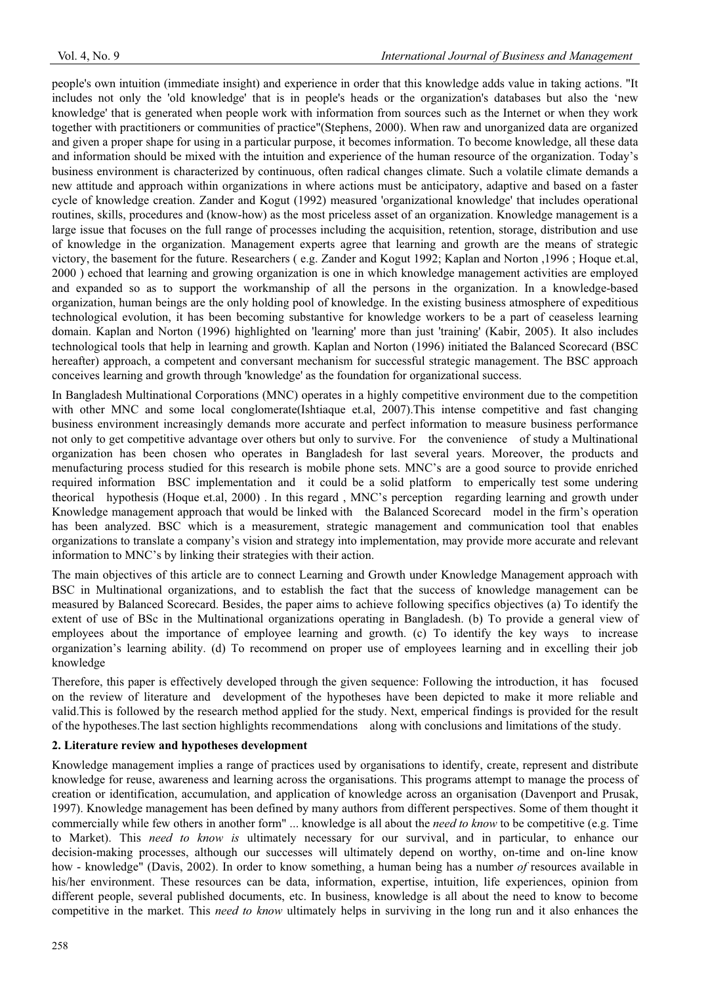people's own intuition (immediate insight) and experience in order that this knowledge adds value in taking actions. "It includes not only the 'old knowledge' that is in people's heads or the organization's databases but also the 'new knowledge' that is generated when people work with information from sources such as the Internet or when they work together with practitioners or communities of practice"(Stephens, 2000). When raw and unorganized data are organized and given a proper shape for using in a particular purpose, it becomes information. To become knowledge, all these data and information should be mixed with the intuition and experience of the human resource of the organization. Today's business environment is characterized by continuous, often radical changes climate. Such a volatile climate demands a new attitude and approach within organizations in where actions must be anticipatory, adaptive and based on a faster cycle of knowledge creation. Zander and Kogut (1992) measured 'organizational knowledge' that includes operational routines, skills, procedures and (know-how) as the most priceless asset of an organization. Knowledge management is a large issue that focuses on the full range of processes including the acquisition, retention, storage, distribution and use of knowledge in the organization. Management experts agree that learning and growth are the means of strategic victory, the basement for the future. Researchers ( e.g. Zander and Kogut 1992; Kaplan and Norton ,1996 ; Hoque et.al, 2000 ) echoed that learning and growing organization is one in which knowledge management activities are employed and expanded so as to support the workmanship of all the persons in the organization. In a knowledge-based organization, human beings are the only holding pool of knowledge. In the existing business atmosphere of expeditious technological evolution, it has been becoming substantive for knowledge workers to be a part of ceaseless learning domain. Kaplan and Norton (1996) highlighted on 'learning' more than just 'training' (Kabir, 2005). It also includes technological tools that help in learning and growth. Kaplan and Norton (1996) initiated the Balanced Scorecard (BSC hereafter) approach, a competent and conversant mechanism for successful strategic management. The BSC approach conceives learning and growth through 'knowledge' as the foundation for organizational success.

In Bangladesh Multinational Corporations (MNC) operates in a highly competitive environment due to the competition with other MNC and some local conglomerate(Ishtiaque et.al, 2007). This intense competitive and fast changing business environment increasingly demands more accurate and perfect information to measure business performance not only to get competitive advantage over others but only to survive. For the convenience of study a Multinational organization has been chosen who operates in Bangladesh for last several years. Moreover, the products and menufacturing process studied for this research is mobile phone sets. MNC's are a good source to provide enriched required information BSC implementation and it could be a solid platform to emperically test some undering theorical hypothesis (Hoque et.al, 2000) . In this regard , MNC's perception regarding learning and growth under Knowledge management approach that would be linked with the Balanced Scorecard model in the firm's operation has been analyzed. BSC which is a measurement, strategic management and communication tool that enables organizations to translate a company's vision and strategy into implementation, may provide more accurate and relevant information to MNC's by linking their strategies with their action.

The main objectives of this article are to connect Learning and Growth under Knowledge Management approach with BSC in Multinational organizations, and to establish the fact that the success of knowledge management can be measured by Balanced Scorecard. Besides, the paper aims to achieve following specifics objectives (a) To identify the extent of use of BSc in the Multinational organizations operating in Bangladesh. (b) To provide a general view of employees about the importance of employee learning and growth. (c) To identify the key ways to increase organization's learning ability. (d) To recommend on proper use of employees learning and in excelling their job knowledge

Therefore, this paper is effectively developed through the given sequence: Following the introduction, it has focused on the review of literature and development of the hypotheses have been depicted to make it more reliable and valid.This is followed by the research method applied for the study. Next, emperical findings is provided for the result of the hypotheses.The last section highlights recommendations along with conclusions and limitations of the study.

#### **2. Literature review and hypotheses development**

Knowledge management implies a range of practices used by organisations to identify, create, represent and distribute knowledge for reuse, awareness and learning across the organisations. This programs attempt to manage the process of creation or identification, accumulation, and application of knowledge across an organisation (Davenport and Prusak, 1997). Knowledge management has been defined by many authors from different perspectives. Some of them thought it commercially while few others in another form" ... knowledge is all about the *need to know* to be competitive (e.g. Time to Market). This *need to know is* ultimately necessary for our survival, and in particular, to enhance our decision-making processes, although our successes will ultimately depend on worthy, on-time and on-line know how - knowledge" (Davis, 2002). In order to know something, a human being has a number *of* resources available in his/her environment. These resources can be data, information, expertise, intuition, life experiences, opinion from different people, several published documents, etc. In business, knowledge is all about the need to know to become competitive in the market. This *need to know* ultimately helps in surviving in the long run and it also enhances the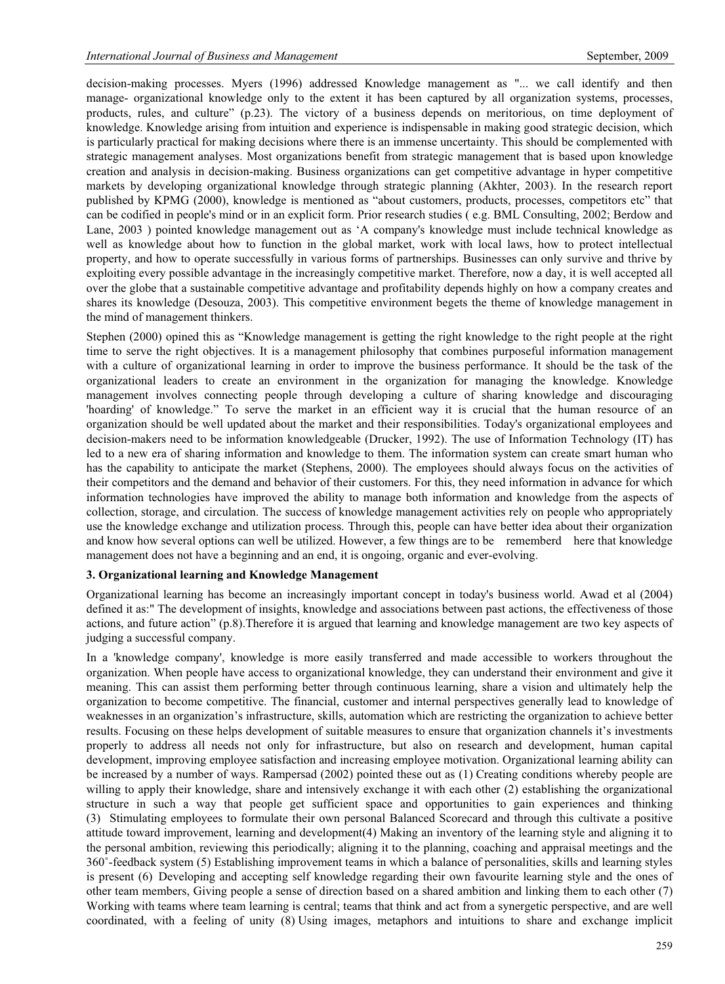decision-making processes. Myers (1996) addressed Knowledge management as "... we call identify and then manage- organizational knowledge only to the extent it has been captured by all organization systems, processes, products, rules, and culture" (p.23). The victory of a business depends on meritorious, on time deployment of knowledge. Knowledge arising from intuition and experience is indispensable in making good strategic decision, which is particularly practical for making decisions where there is an immense uncertainty. This should be complemented with strategic management analyses. Most organizations benefit from strategic management that is based upon knowledge creation and analysis in decision-making. Business organizations can get competitive advantage in hyper competitive markets by developing organizational knowledge through strategic planning (Akhter, 2003). In the research report published by KPMG (2000), knowledge is mentioned as "about customers, products, processes, competitors etc" that can be codified in people's mind or in an explicit form. Prior research studies ( e.g. BML Consulting, 2002; Berdow and Lane, 2003 ) pointed knowledge management out as 'A company's knowledge must include technical knowledge as well as knowledge about how to function in the global market, work with local laws, how to protect intellectual property, and how to operate successfully in various forms of partnerships. Businesses can only survive and thrive by exploiting every possible advantage in the increasingly competitive market. Therefore, now a day, it is well accepted all over the globe that a sustainable competitive advantage and profitability depends highly on how a company creates and shares its knowledge (Desouza, 2003). This competitive environment begets the theme of knowledge management in the mind of management thinkers.

Stephen (2000) opined this as "Knowledge management is getting the right knowledge to the right people at the right time to serve the right objectives. It is a management philosophy that combines purposeful information management with a culture of organizational learning in order to improve the business performance. It should be the task of the organizational leaders to create an environment in the organization for managing the knowledge. Knowledge management involves connecting people through developing a culture of sharing knowledge and discouraging 'hoarding' of knowledge." To serve the market in an efficient way it is crucial that the human resource of an organization should be well updated about the market and their responsibilities. Today's organizational employees and decision-makers need to be information knowledgeable (Drucker, 1992). The use of Information Technology (IT) has led to a new era of sharing information and knowledge to them. The information system can create smart human who has the capability to anticipate the market (Stephens, 2000). The employees should always focus on the activities of their competitors and the demand and behavior of their customers. For this, they need information in advance for which information technologies have improved the ability to manage both information and knowledge from the aspects of collection, storage, and circulation. The success of knowledge management activities rely on people who appropriately use the knowledge exchange and utilization process. Through this, people can have better idea about their organization and know how several options can well be utilized. However, a few things are to be rememberd here that knowledge management does not have a beginning and an end, it is ongoing, organic and ever-evolving.

#### **3. Organizational learning and Knowledge Management**

Organizational learning has become an increasingly important concept in today's business world. Awad et al (2004) defined it as:" The development of insights, knowledge and associations between past actions, the effectiveness of those actions, and future action" (p.8).Therefore it is argued that learning and knowledge management are two key aspects of judging a successful company.

In a 'knowledge company', knowledge is more easily transferred and made accessible to workers throughout the organization. When people have access to organizational knowledge, they can understand their environment and give it meaning. This can assist them performing better through continuous learning, share a vision and ultimately help the organization to become competitive. The financial, customer and internal perspectives generally lead to knowledge of weaknesses in an organization's infrastructure, skills, automation which are restricting the organization to achieve better results. Focusing on these helps development of suitable measures to ensure that organization channels it's investments properly to address all needs not only for infrastructure, but also on research and development, human capital development, improving employee satisfaction and increasing employee motivation. Organizational learning ability can be increased by a number of ways. Rampersad (2002) pointed these out as (1) Creating conditions whereby people are willing to apply their knowledge, share and intensively exchange it with each other (2) establishing the organizational structure in such a way that people get sufficient space and opportunities to gain experiences and thinking (3) Stimulating employees to formulate their own personal Balanced Scorecard and through this cultivate a positive attitude toward improvement, learning and development(4) Making an inventory of the learning style and aligning it to the personal ambition, reviewing this periodically; aligning it to the planning, coaching and appraisal meetings and the 360˚-feedback system (5) Establishing improvement teams in which a balance of personalities, skills and learning styles is present (6) Developing and accepting self knowledge regarding their own favourite learning style and the ones of other team members, Giving people a sense of direction based on a shared ambition and linking them to each other (7) Working with teams where team learning is central; teams that think and act from a synergetic perspective, and are well coordinated, with a feeling of unity (8) Using images, metaphors and intuitions to share and exchange implicit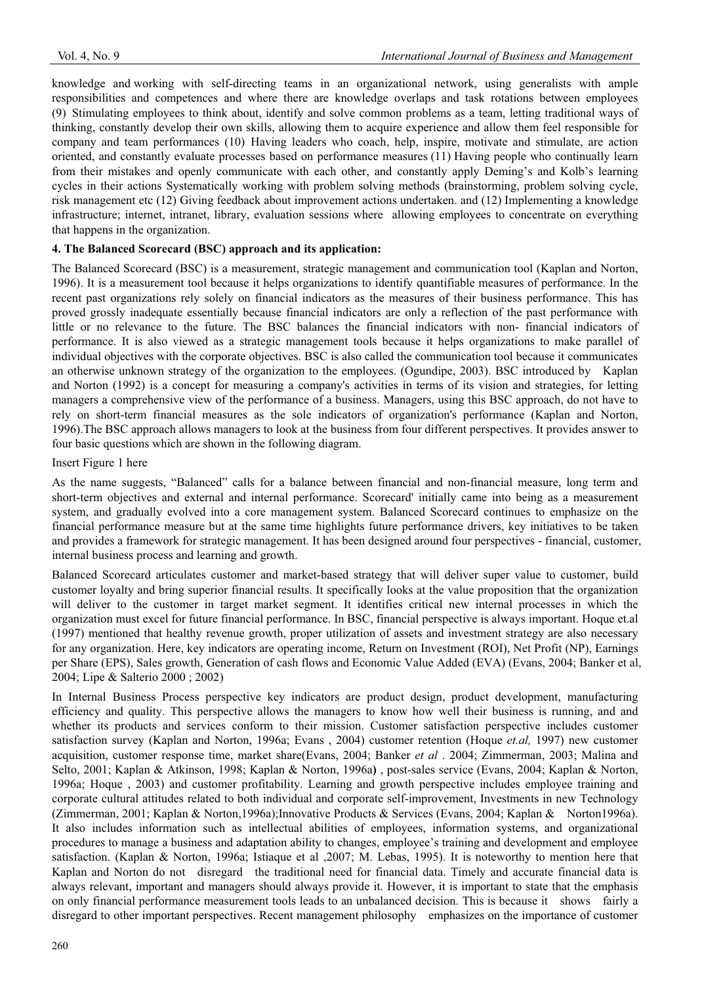knowledge and working with self-directing teams in an organizational network, using generalists with ample responsibilities and competences and where there are knowledge overlaps and task rotations between employees (9) Stimulating employees to think about, identify and solve common problems as a team, letting traditional ways of thinking, constantly develop their own skills, allowing them to acquire experience and allow them feel responsible for company and team performances (10) Having leaders who coach, help, inspire, motivate and stimulate, are action oriented, and constantly evaluate processes based on performance measures (11) Having people who continually learn from their mistakes and openly communicate with each other, and constantly apply Deming's and Kolb's learning cycles in their actions Systematically working with problem solving methods (brainstorming, problem solving cycle, risk management etc (12) Giving feedback about improvement actions undertaken. and (12) Implementing a knowledge infrastructure; internet, intranet, library, evaluation sessions where allowing employees to concentrate on everything that happens in the organization.

#### **4. The Balanced Scorecard (BSC) approach and its application:**

The Balanced Scorecard (BSC) is a measurement, strategic management and communication tool (Kaplan and Norton, 1996). It is a measurement tool because it helps organizations to identify quantifiable measures of performance. In the recent past organizations rely solely on financial indicators as the measures of their business performance. This has proved grossly inadequate essentially because financial indicators are only a reflection of the past performance with little or no relevance to the future. The BSC balances the financial indicators with non- financial indicators of performance. It is also viewed as a strategic management tools because it helps organizations to make parallel of individual objectives with the corporate objectives. BSC is also called the communication tool because it communicates an otherwise unknown strategy of the organization to the employees. (Ogundipe, 2003). BSC introduced by Kaplan and Norton (1992) is a concept for measuring a company's activities in terms of its vision and strategies, for letting managers a comprehensive view of the performance of a business. Managers, using this BSC approach, do not have to rely on short-term financial measures as the sole indicators of organization's performance (Kaplan and Norton, 1996).The BSC approach allows managers to look at the business from four different perspectives. It provides answer to four basic questions which are shown in the following diagram.

#### Insert Figure 1 here

As the name suggests, "Balanced" calls for a balance between financial and non-financial measure, long term and short-term objectives and external and internal performance. Scorecard' initially came into being as a measurement system, and gradually evolved into a core management system. Balanced Scorecard continues to emphasize on the financial performance measure but at the same time highlights future performance drivers, key initiatives to be taken and provides a framework for strategic management. It has been designed around four perspectives - financial, customer, internal business process and learning and growth.

Balanced Scorecard articulates customer and market-based strategy that will deliver super value to customer, build customer loyalty and bring superior financial results. It specifically looks at the value proposition that the organization will deliver to the customer in target market segment. It identifies critical new internal processes in which the organization must excel for future financial performance. In BSC, financial perspective is always important. Hoque et.al (1997) mentioned that healthy revenue growth, proper utilization of assets and investment strategy are also necessary for any organization. Here, key indicators are operating income, Return on Investment (ROI), Net Profit (NP), Earnings per Share (EPS), Sales growth, Generation of cash flows and Economic Value Added (EVA) (Evans, 2004; Banker et al, 2004; Lipe & Salterio 2000 ; 2002)

In Internal Business Process perspective key indicators are product design, product development, manufacturing efficiency and quality. This perspective allows the managers to know how well their business is running, and and whether its products and services conform to their mission. Customer satisfaction perspective includes customer satisfaction survey (Kaplan and Norton, 1996a; Evans , 2004) customer retention (Hoque *et.al,* 1997) new customer acquisition, customer response time, market share(Evans, 2004; Banker *et al* . 2004; Zimmerman, 2003; Malina and Selto, 2001; Kaplan & Atkinson, 1998; Kaplan & Norton, 1996a**)** , post-sales service (Evans, 2004; Kaplan & Norton, 1996a; Hoque , 2003) and customer profitability. Learning and growth perspective includes employee training and corporate cultural attitudes related to both individual and corporate self-improvement, Investments in new Technology (Zimmerman, 2001; Kaplan & Norton,1996a);Innovative Products & Services (Evans, 2004; Kaplan & Norton1996a). It also includes information such as intellectual abilities of employees, information systems, and organizational procedures to manage a business and adaptation ability to changes, employee's training and development and employee satisfaction. (Kaplan & Norton, 1996a; Istiaque et al ,2007; M. Lebas, 1995). It is noteworthy to mention here that Kaplan and Norton do not disregard the traditional need for financial data. Timely and accurate financial data is always relevant, important and managers should always provide it. However, it is important to state that the emphasis on only financial performance measurement tools leads to an unbalanced decision. This is because it shows fairly a disregard to other important perspectives. Recent management philosophy emphasizes on the importance of customer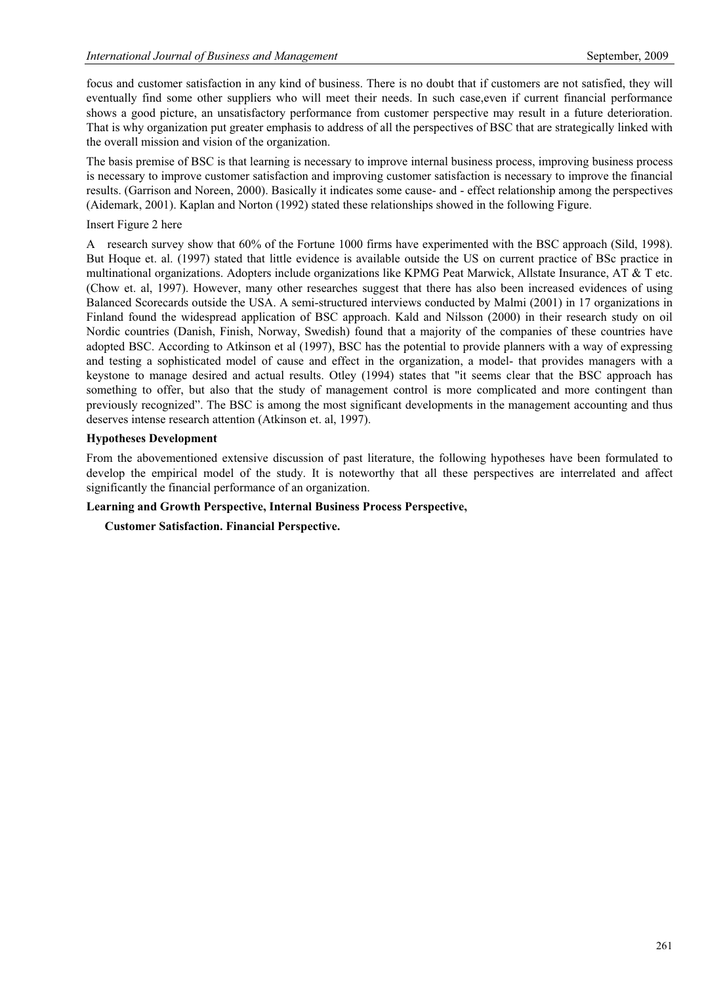focus and customer satisfaction in any kind of business. There is no doubt that if customers are not satisfied, they will eventually find some other suppliers who will meet their needs. In such case,even if current financial performance shows a good picture, an unsatisfactory performance from customer perspective may result in a future deterioration. That is why organization put greater emphasis to address of all the perspectives of BSC that are strategically linked with the overall mission and vision of the organization.

The basis premise of BSC is that learning is necessary to improve internal business process, improving business process is necessary to improve customer satisfaction and improving customer satisfaction is necessary to improve the financial results. (Garrison and Noreen, 2000). Basically it indicates some cause- and - effect relationship among the perspectives (Aidemark, 2001). Kaplan and Norton (1992) stated these relationships showed in the following Figure.

#### Insert Figure 2 here

A research survey show that 60% of the Fortune 1000 firms have experimented with the BSC approach (Sild, 1998). But Hoque et. al. (1997) stated that little evidence is available outside the US on current practice of BSc practice in multinational organizations. Adopters include organizations like KPMG Peat Marwick, Allstate Insurance, AT & T etc. (Chow et. al, 1997). However, many other researches suggest that there has also been increased evidences of using Balanced Scorecards outside the USA. A semi-structured interviews conducted by Malmi (2001) in 17 organizations in Finland found the widespread application of BSC approach. Kald and Nilsson (2000) in their research study on oil Nordic countries (Danish, Finish, Norway, Swedish) found that a majority of the companies of these countries have adopted BSC. According to Atkinson et al (1997), BSC has the potential to provide planners with a way of expressing and testing a sophisticated model of cause and effect in the organization, a model- that provides managers with a keystone to manage desired and actual results. Otley (1994) states that "it seems clear that the BSC approach has something to offer, but also that the study of management control is more complicated and more contingent than previously recognized". The BSC is among the most significant developments in the management accounting and thus deserves intense research attention (Atkinson et. al, 1997).

#### **Hypotheses Development**

From the abovementioned extensive discussion of past literature, the following hypotheses have been formulated to develop the empirical model of the study. It is noteworthy that all these perspectives are interrelated and affect significantly the financial performance of an organization.

#### **Learning and Growth Perspective, Internal Business Process Perspective,**

 **Customer Satisfaction. Financial Perspective.**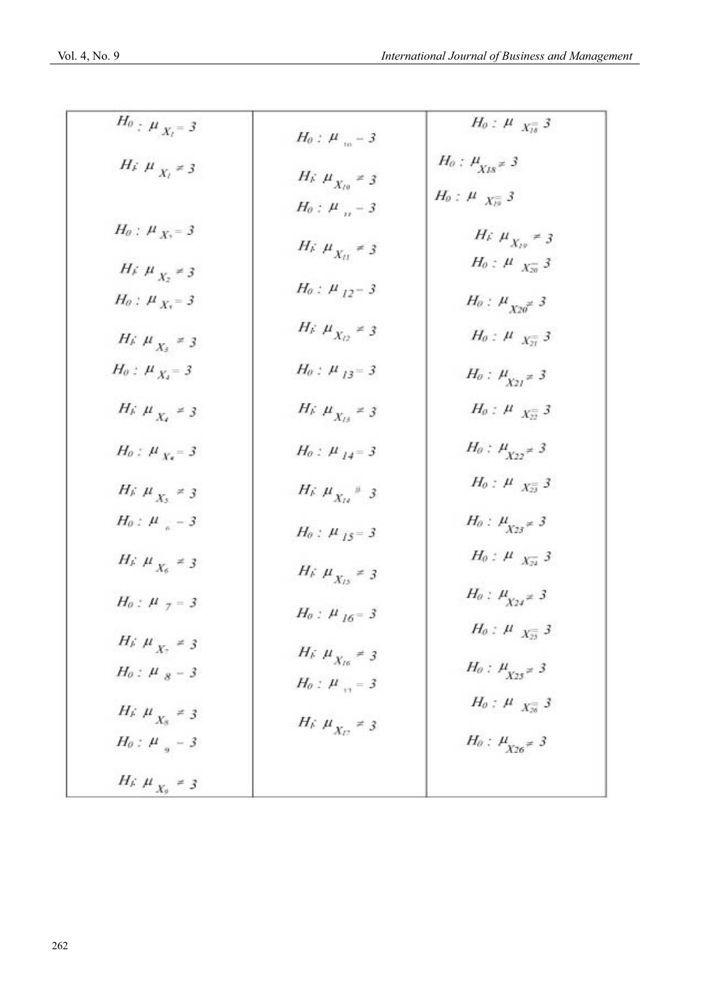| $H_0$ : $\mu_{X_i} = 3$                                 | $H_0: \mu_{\rm in} - 3$                                        | $H_0$ : $\mu$ $_{X_{18}^-}$ 3                                                             |
|---------------------------------------------------------|----------------------------------------------------------------|-------------------------------------------------------------------------------------------|
| $H_i \ \mu_{X_i} \neq \mathfrak{Z}$                     | $H_{\vec k}$ $\mu_{\chi_{l0}} \neq \mathfrak{z}$               | $H_0:$ $\mu_{XIS} = 3$                                                                    |
| $H_0: \mu_{X_2} = 3$                                    | $H_0: \mu_{11} - 3$                                            | $H_0: \mu_{X_{19}^{\pm}}3$<br>$H_i \mu_{X_{19}} \neq 3$                                   |
| $H_i \mu_{X_2} \neq 3$                                  | $H_i\ \mu_{\chi_{i1}}\neq\mathfrak{z}$                         | $H_0$ : $\mu$ $_{X\!\!\!\!\!\!\!\!\!\!\!\!\!\ {}^{\scriptstyle \times}$ 3                 |
| $H_0: \mu_{X_t} = 3$                                    | $H_0$ : $\mu_{12} - 3$                                         | $H_0: \mu_{X20}^2 \neq 3$                                                                 |
| $H_i \mu_{X_s} \neq 3$                                  | $H_i \ \mu_{\chi_{i2}} \neq 3$                                 | $H_0$ : $\mu$ $_{X_{21}^{\equiv}}$ $\beta$                                                |
| $H_0: \mu_{X_4} = 3$<br>$H_i \ \mu_{X_i} \neq 3$        | $H_0$ : $\mu_{13} = 3$<br>$H_{\vec k}$ $\mu_{\chi_{l3}} \ge 3$ | $H_0$ : $\boldsymbol{\mu}_{\chi_{2I}} \neq 3$<br>$H_0$ : $\mu$ $_{X_{22}^{\leftarrow}}$ 3 |
| $H_0$ : $\mu_{X_0} = 3$                                 | $H_0$ : $\mu_{14}$ = 3                                         | $H_0: \mu_{X22} \neq 3$                                                                   |
| $H_i\ \mu_{\chi_s}\neq 3$                               | $H_i \mu_{\chi_{i\ast}}$ # 3                                   | $H_0$ : $\mu$ $_{X_{23}^{\equiv}}$ $3$                                                    |
| $H_0$ : $\mu_{\alpha}$ – $3$                            | $H_0$ : $\mu_{15}$ = 3                                         | $H_0$ : $\boldsymbol{\mu}_{\boldsymbol{X23}^{\neq}}$ 3                                    |
| $H_i\ \mu_{X_\delta}\neq 3$                             | $H_i\ \mu_{\chi_{is}} \neq 3$                                  | $H_0$ : $\mu$ $_{X_{24}^-}$ 3                                                             |
| $H_0: \mu_{7} = 3$                                      | $H_0$ : $\mu_{16}$ = 3                                         | $H_0: \mu_{X24}^2 \neq 3$<br>$H_0$ : $\mu$ $_{X_{23}^{\scriptscriptstyle \equiv}}$ 3      |
| $H_i \mu_{X_7} \neq 3$<br>$H_0:$ $\mu$ <sub>8</sub> – 3 | $H_i \mu_{X_{16}} = 3$                                         | $H_0: \mu_{X25} = 3$                                                                      |
| $H_{\vec{r}}$ $\mu_{_{X_{\vec{s}}}}$ $\neq$ $3$         | $H_0$ : $\mu_{17} = 3$                                         | $H_0$ : $\mu$ $_{X_\infty^-}$ $\beta$                                                     |
| $H_0: \mu_{9} - 3$                                      | $H_i$ $\mu_{\chi_{i\bar{\imath}}}=3$                           | $H_0: \mu_{X26} = 3$                                                                      |
| $H_{\vec k}$ $\mu_{X_9}$ $\neq$ $3$                     |                                                                |                                                                                           |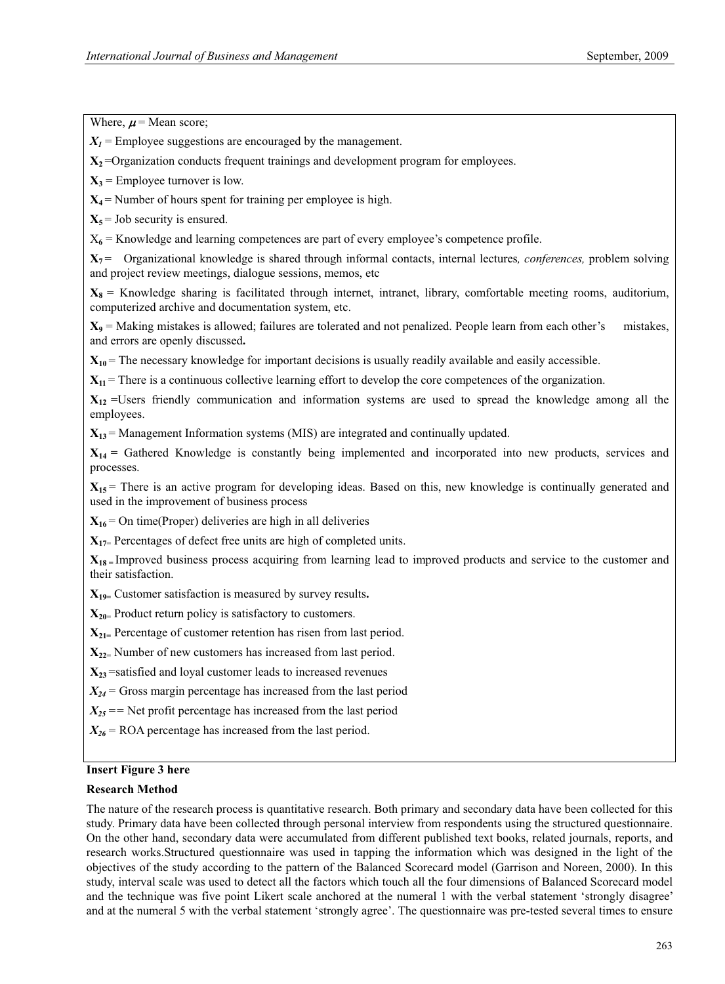Where,  $\mu$  = Mean score;

 $X_1$  = Employee suggestions are encouraged by the management.

 $X_2$ =Organization conducts frequent trainings and development program for employees.

 $X_3$  = Employee turnover is low.

 $X_4$  = Number of hours spent for training per employee is high.

 $X_5$  = Job security is ensured.

 $X_6$  = Knowledge and learning competences are part of every employee's competence profile.

**X7** = Organizational knowledge is shared through informal contacts, internal lectures*, conferences,* problem solving and project review meetings, dialogue sessions, memos, etc

 $X_8$  = Knowledge sharing is facilitated through internet, intranet, library, comfortable meeting rooms, auditorium, computerized archive and documentation system, etc.

**X9** = Making mistakes is allowed; failures are tolerated and not penalized. People learn from each other's mistakes, and errors are openly discussed**.**

 $X_{10}$  = The necessary knowledge for important decisions is usually readily available and easily accessible.

 $X_{11}$  = There is a continuous collective learning effort to develop the core competences of the organization.

 $X_{12}$  =Users friendly communication and information systems are used to spread the knowledge among all the employees.

 $X_{13}$  = Management Information systems (MIS) are integrated and continually updated.

**X14 =** Gathered Knowledge is constantly being implemented and incorporated into new products, services and processes.

 $X_{15}$  = There is an active program for developing ideas. Based on this, new knowledge is continually generated and used in the improvement of business process

 $X_{16}$  = On time(Proper) deliveries are high in all deliveries

**X17**= Percentages of defect free units are high of completed units.

**X18 =** Improved business process acquiring from learning lead to improved products and service to the customer and their satisfaction.

**X19=** Customer satisfaction is measured by survey results**.**

**X20**= Product return policy is satisfactory to customers.

 $X_{21}$ = Percentage of customer retention has risen from last period.

 $X_{22}$ = Number of new customers has increased from last period.

 $X_{23}$  =satisfied and loyal customer leads to increased revenues

 $X_{24}$  = Gross margin percentage has increased from the last period

 $X_{25}$  == Net profit percentage has increased from the last period

 $X_{26}$  = ROA percentage has increased from the last period.

#### **Insert Figure 3 here**

#### **Research Method**

The nature of the research process is quantitative research. Both primary and secondary data have been collected for this study. Primary data have been collected through personal interview from respondents using the structured questionnaire. On the other hand, secondary data were accumulated from different published text books, related journals, reports, and research works.Structured questionnaire was used in tapping the information which was designed in the light of the objectives of the study according to the pattern of the Balanced Scorecard model (Garrison and Noreen, 2000). In this study, interval scale was used to detect all the factors which touch all the four dimensions of Balanced Scorecard model and the technique was five point Likert scale anchored at the numeral 1 with the verbal statement 'strongly disagree' and at the numeral 5 with the verbal statement 'strongly agree'. The questionnaire was pre-tested several times to ensure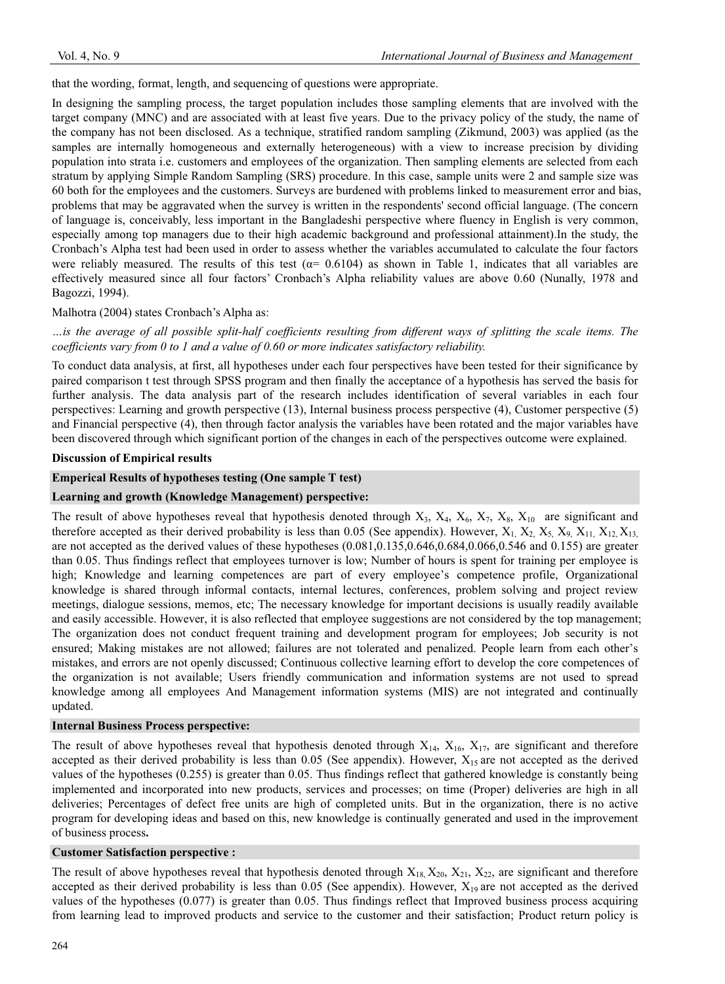that the wording, format, length, and sequencing of questions were appropriate.

In designing the sampling process, the target population includes those sampling elements that are involved with the target company (MNC) and are associated with at least five years. Due to the privacy policy of the study, the name of the company has not been disclosed. As a technique, stratified random sampling (Zikmund, 2003) was applied (as the samples are internally homogeneous and externally heterogeneous) with a view to increase precision by dividing population into strata i.e. customers and employees of the organization. Then sampling elements are selected from each stratum by applying Simple Random Sampling (SRS) procedure. In this case, sample units were 2 and sample size was 60 both for the employees and the customers. Surveys are burdened with problems linked to measurement error and bias, problems that may be aggravated when the survey is written in the respondents' second official language. (The concern of language is, conceivably, less important in the Bangladeshi perspective where fluency in English is very common, especially among top managers due to their high academic background and professional attainment).In the study, the Cronbach's Alpha test had been used in order to assess whether the variables accumulated to calculate the four factors were reliably measured. The results of this test ( $\alpha$ = 0.6104) as shown in Table 1, indicates that all variables are effectively measured since all four factors' Cronbach's Alpha reliability values are above 0.60 (Nunally, 1978 and Bagozzi, 1994).

# Malhotra (2004) states Cronbach's Alpha as:

*…is the average of all possible split-half coefficients resulting from different ways of splitting the scale items. The coefficients vary from 0 to 1 and a value of 0.60 or more indicates satisfactory reliability.* 

To conduct data analysis, at first, all hypotheses under each four perspectives have been tested for their significance by paired comparison t test through SPSS program and then finally the acceptance of a hypothesis has served the basis for further analysis. The data analysis part of the research includes identification of several variables in each four perspectives: Learning and growth perspective (13), Internal business process perspective (4), Customer perspective (5) and Financial perspective (4), then through factor analysis the variables have been rotated and the major variables have been discovered through which significant portion of the changes in each of the perspectives outcome were explained.

#### **Discussion of Empirical results**

#### **Emperical Results of hypotheses testing (One sample T test)**

#### **Learning and growth (Knowledge Management) perspective:**

The result of above hypotheses reveal that hypothesis denoted through  $X_3$ ,  $X_4$ ,  $X_6$ ,  $X_7$ ,  $X_8$ ,  $X_{10}$  are significant and therefore accepted as their derived probability is less than 0.05 (See appendix). However,  $X_1, X_2, X_5, X_9, X_{11}, X_{12}, X_{13}$ , are not accepted as the derived values of these hypotheses (0.081,0.135,0.646,0.684,0.066,0.546 and 0.155) are greater than 0.05. Thus findings reflect that employees turnover is low; Number of hours is spent for training per employee is high; Knowledge and learning competences are part of every employee's competence profile, Organizational knowledge is shared through informal contacts, internal lectures, conferences, problem solving and project review meetings, dialogue sessions, memos, etc; The necessary knowledge for important decisions is usually readily available and easily accessible. However, it is also reflected that employee suggestions are not considered by the top management; The organization does not conduct frequent training and development program for employees; Job security is not ensured; Making mistakes are not allowed; failures are not tolerated and penalized. People learn from each other's mistakes, and errors are not openly discussed; Continuous collective learning effort to develop the core competences of the organization is not available; Users friendly communication and information systems are not used to spread knowledge among all employees And Management information systems (MIS) are not integrated and continually updated.

#### **Internal Business Process perspective:**

The result of above hypotheses reveal that hypothesis denoted through  $X_{14}$ ,  $X_{16}$ ,  $X_{17}$ , are significant and therefore accepted as their derived probability is less than 0.05 (See appendix). However,  $X_{15}$  are not accepted as the derived values of the hypotheses (0.255) is greater than 0.05. Thus findings reflect that gathered knowledge is constantly being implemented and incorporated into new products, services and processes; on time (Proper) deliveries are high in all deliveries; Percentages of defect free units are high of completed units. But in the organization, there is no active program for developing ideas and based on this, new knowledge is continually generated and used in the improvement of business process**.**

#### **Customer Satisfaction perspective :**

The result of above hypotheses reveal that hypothesis denoted through  $X_{18}$ ,  $X_{20}$ ,  $X_{21}$ ,  $X_{22}$ , are significant and therefore accepted as their derived probability is less than 0.05 (See appendix). However,  $X_{19}$  are not accepted as the derived values of the hypotheses (0.077) is greater than 0.05. Thus findings reflect that Improved business process acquiring from learning lead to improved products and service to the customer and their satisfaction; Product return policy is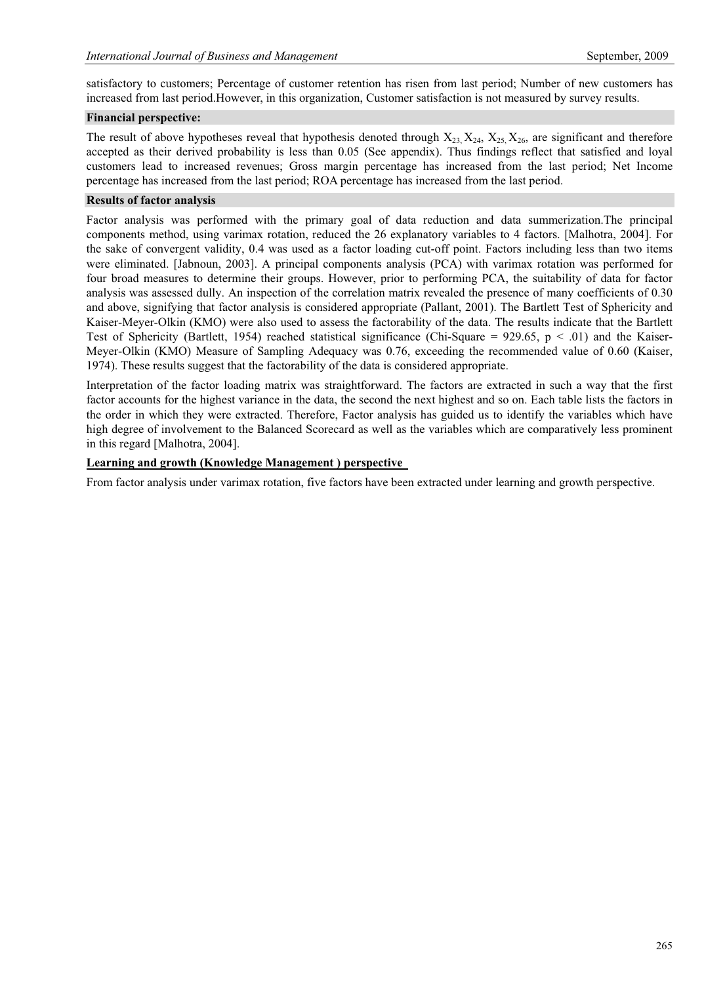satisfactory to customers; Percentage of customer retention has risen from last period; Number of new customers has increased from last period.However, in this organization, Customer satisfaction is not measured by survey results.

# **Financial perspective:**

The result of above hypotheses reveal that hypothesis denoted through  $X_{23}$ ,  $X_{24}$ ,  $X_{25}$ ,  $X_{26}$ , are significant and therefore accepted as their derived probability is less than 0.05 (See appendix). Thus findings reflect that satisfied and loyal customers lead to increased revenues; Gross margin percentage has increased from the last period; Net Income percentage has increased from the last period; ROA percentage has increased from the last period.

# **Results of factor analysis**

Factor analysis was performed with the primary goal of data reduction and data summerization.The principal components method, using varimax rotation, reduced the 26 explanatory variables to 4 factors. [Malhotra, 2004]. For the sake of convergent validity, 0.4 was used as a factor loading cut-off point. Factors including less than two items were eliminated. [Jabnoun, 2003]. A principal components analysis (PCA) with varimax rotation was performed for four broad measures to determine their groups. However, prior to performing PCA, the suitability of data for factor analysis was assessed dully. An inspection of the correlation matrix revealed the presence of many coefficients of 0.30 and above, signifying that factor analysis is considered appropriate (Pallant, 2001). The Bartlett Test of Sphericity and Kaiser-Meyer-Olkin (KMO) were also used to assess the factorability of the data. The results indicate that the Bartlett Test of Sphericity (Bartlett, 1954) reached statistical significance (Chi-Square = 929.65,  $p < .01$ ) and the Kaiser-Meyer-Olkin (KMO) Measure of Sampling Adequacy was 0.76, exceeding the recommended value of 0.60 (Kaiser, 1974). These results suggest that the factorability of the data is considered appropriate.

Interpretation of the factor loading matrix was straightforward. The factors are extracted in such a way that the first factor accounts for the highest variance in the data, the second the next highest and so on. Each table lists the factors in the order in which they were extracted. Therefore, Factor analysis has guided us to identify the variables which have high degree of involvement to the Balanced Scorecard as well as the variables which are comparatively less prominent in this regard [Malhotra, 2004].

# **Learning and growth (Knowledge Management ) perspective**

From factor analysis under varimax rotation, five factors have been extracted under learning and growth perspective.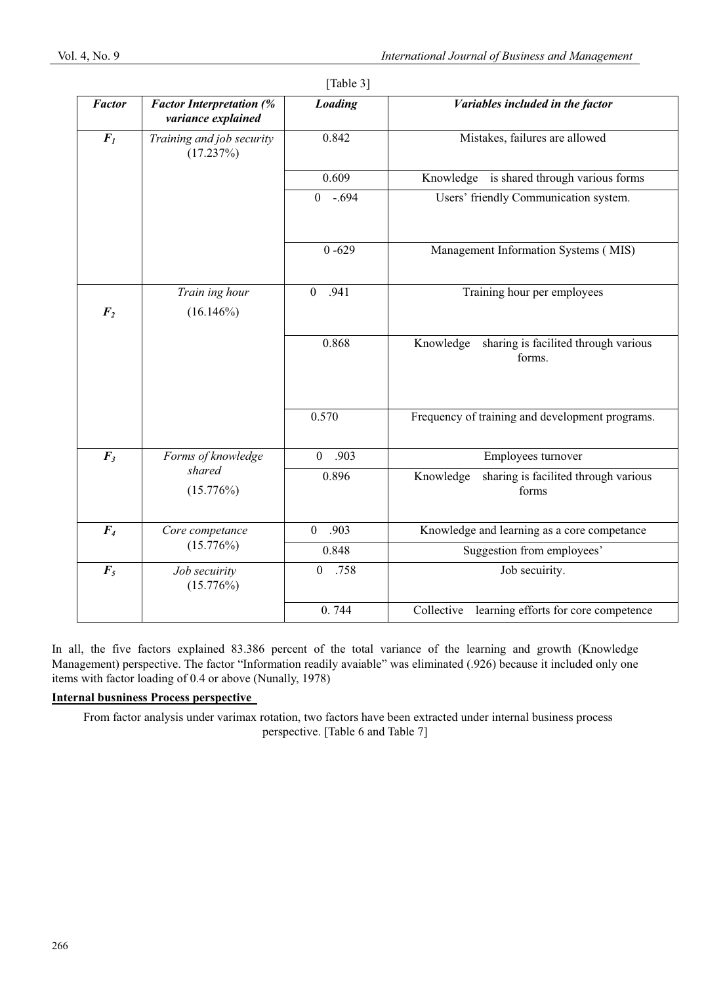| <b>Factor</b>      | <b>Factor Interpretation (%</b><br>variance explained | Loading                   | Variables included in the factor                            |
|--------------------|-------------------------------------------------------|---------------------------|-------------------------------------------------------------|
| $F_I$              | Training and job security<br>(17.237%)                | 0.842                     | Mistakes, failures are allowed                              |
|                    |                                                       | 0.609                     | Knowledge is shared through various forms                   |
|                    |                                                       | $-.694$<br>$\overline{0}$ | Users' friendly Communication system.                       |
|                    |                                                       | $0 - 629$                 | Management Information Systems (MIS)                        |
| F <sub>2</sub>     | Train ing hour<br>$(16.146\%)$                        | $\mathbf{0}$<br>.941      | Training hour per employees                                 |
|                    |                                                       | 0.868                     | Knowledge<br>sharing is facilited through various<br>forms. |
|                    |                                                       | 0.570                     | Frequency of training and development programs.             |
| $F_3$              | Forms of knowledge                                    | .903<br>$\overline{0}$    | Employees turnover                                          |
|                    | shared<br>(15.776%)                                   | 0.896                     | Knowledge<br>sharing is facilited through various<br>forms  |
| $F_4$              | Core competance                                       | $\mathbf{0}$<br>.903      | Knowledge and learning as a core competance                 |
|                    | (15.776%)                                             | 0.848                     | Suggestion from employees'                                  |
| $\boldsymbol{F_5}$ | Job secuirity<br>(15.776%)                            | .758<br>$\overline{0}$    | Job secuirity.                                              |
|                    |                                                       | 0.744                     | Collective<br>learning efforts for core competence          |

[Table 3]

In all, the five factors explained 83.386 percent of the total variance of the learning and growth (Knowledge Management) perspective. The factor "Information readily avaiable" was eliminated (.926) because it included only one items with factor loading of 0.4 or above (Nunally, 1978)

# **Internal busniness Process perspective**

 From factor analysis under varimax rotation, two factors have been extracted under internal business process perspective. [Table 6 and Table 7]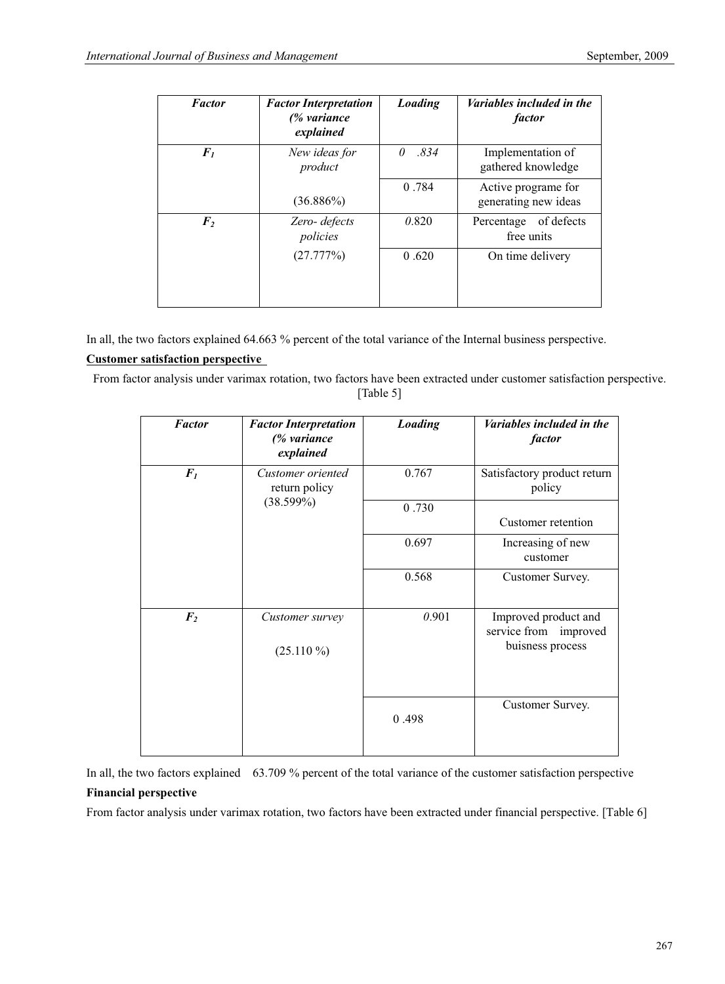| <b>Factor</b>      | <b>Factor Interpretation</b><br>(% variance<br>explained | <b>Loading</b> | Variables included in the<br>factor         |
|--------------------|----------------------------------------------------------|----------------|---------------------------------------------|
| $\boldsymbol{F}_t$ | New ideas for<br>product                                 | .834<br>0      | Implementation of<br>gathered knowledge     |
|                    | $(36.886\%)$                                             | 0.784          | Active programe for<br>generating new ideas |
| $\bm{F}_{2}$       | Zero-defects<br>policies                                 | 0.820          | of defects<br>Percentage<br>free units      |
|                    | (27.777%)                                                | 0.620          | On time delivery                            |

In all, the two factors explained 64.663 % percent of the total variance of the Internal business perspective.

# **Customer satisfaction perspective**

From factor analysis under varimax rotation, two factors have been extracted under customer satisfaction perspective. [Table 5]

| <b>Factor</b>  | <b>Factor Interpretation</b><br>(% variance<br>explained | Loading | Variables included in the<br>factor                               |
|----------------|----------------------------------------------------------|---------|-------------------------------------------------------------------|
| $F_I$          | Customer oriented<br>return policy                       | 0.767   | Satisfactory product return<br>policy                             |
|                | $(38.599\%)$                                             | 0.730   | Customer retention                                                |
|                |                                                          | 0.697   | Increasing of new<br>customer                                     |
|                |                                                          | 0.568   | Customer Survey.                                                  |
| F <sub>2</sub> | Customer survey<br>$(25.110\%)$                          | 0.901   | Improved product and<br>service from improved<br>buisness process |
|                |                                                          | 0.498   | Customer Survey.                                                  |

In all, the two factors explained 63.709 % percent of the total variance of the customer satisfaction perspective **Financial perspective** 

From factor analysis under varimax rotation, two factors have been extracted under financial perspective. [Table 6]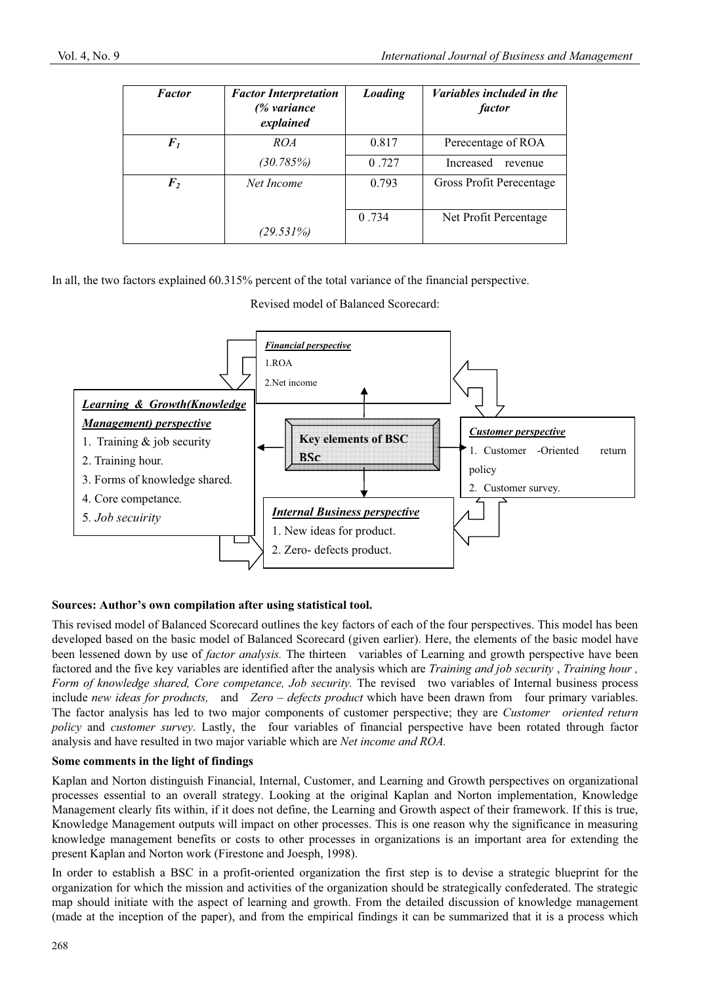| <b>Factor</b> | <b>Factor Interpretation</b><br>(% variance<br>explained | Loading | <i>Variables included in the</i><br>factor |
|---------------|----------------------------------------------------------|---------|--------------------------------------------|
| $\bm{F}_I$    | ROA                                                      | 0.817   | Perecentage of ROA                         |
|               | (30.785%)                                                | 0.727   | Increased<br>revenue                       |
| $\bm{F}_2$    | Net Income                                               | 0.793   | Gross Profit Perecentage                   |
|               | (29.531%)                                                | 0.734   | Net Profit Percentage                      |

In all, the two factors explained 60.315% percent of the total variance of the financial perspective.

Revised model of Balanced Scorecard:



# **Sources: Author's own compilation after using statistical tool.**

This revised model of Balanced Scorecard outlines the key factors of each of the four perspectives. This model has been developed based on the basic model of Balanced Scorecard (given earlier). Here, the elements of the basic model have been lessened down by use of *factor analysis.* The thirteen variables of Learning and growth perspective have been factored and the five key variables are identified after the analysis which are *Training and job security* , *Training hour , Form of knowledge shared, Core competance, Job security.* The revised two variables of Internal business process include *new ideas for products,* and *Zero – defects product* which have been drawn from four primary variables. The factor analysis has led to two major components of customer perspective; they are *Customer oriented return policy* and *customer survey*. Lastly, the four variables of financial perspective have been rotated through factor analysis and have resulted in two major variable which are *Net income and ROA.*

# **Some comments in the light of findings**

Kaplan and Norton distinguish Financial, Internal, Customer, and Learning and Growth perspectives on organizational processes essential to an overall strategy. Looking at the original Kaplan and Norton implementation, Knowledge Management clearly fits within, if it does not define, the Learning and Growth aspect of their framework. If this is true, Knowledge Management outputs will impact on other processes. This is one reason why the significance in measuring knowledge management benefits or costs to other processes in organizations is an important area for extending the present Kaplan and Norton work (Firestone and Joesph, 1998).

In order to establish a BSC in a profit-oriented organization the first step is to devise a strategic blueprint for the organization for which the mission and activities of the organization should be strategically confederated. The strategic map should initiate with the aspect of learning and growth. From the detailed discussion of knowledge management (made at the inception of the paper), and from the empirical findings it can be summarized that it is a process which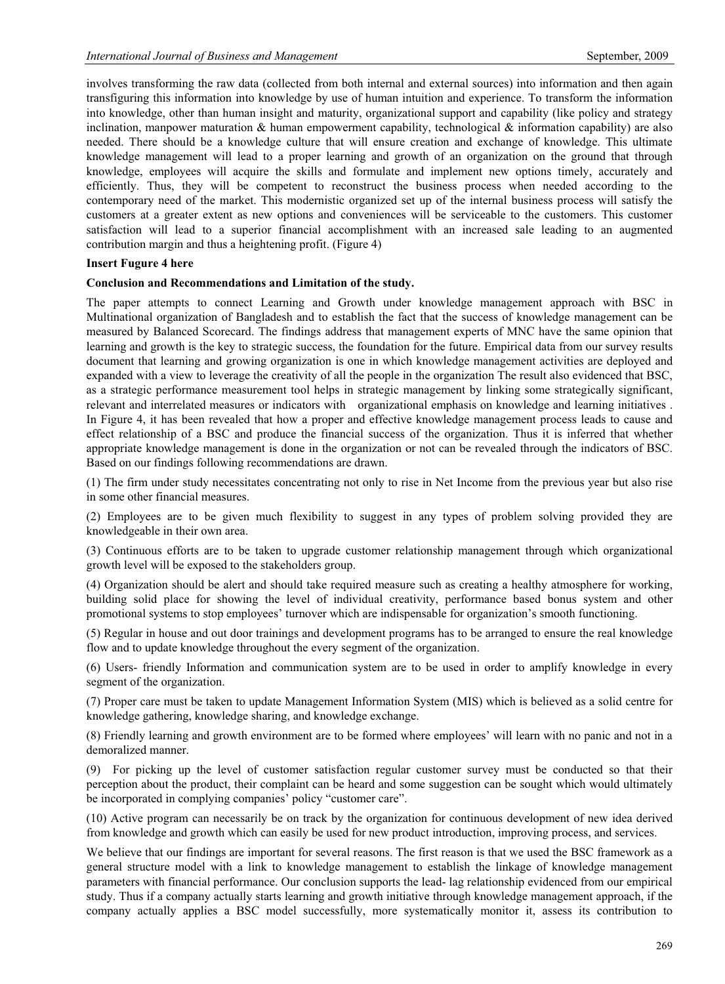involves transforming the raw data (collected from both internal and external sources) into information and then again transfiguring this information into knowledge by use of human intuition and experience. To transform the information into knowledge, other than human insight and maturity, organizational support and capability (like policy and strategy inclination, manpower maturation  $\&$  human empowerment capability, technological  $\&$  information capability) are also needed. There should be a knowledge culture that will ensure creation and exchange of knowledge. This ultimate knowledge management will lead to a proper learning and growth of an organization on the ground that through knowledge, employees will acquire the skills and formulate and implement new options timely, accurately and efficiently. Thus, they will be competent to reconstruct the business process when needed according to the contemporary need of the market. This modernistic organized set up of the internal business process will satisfy the customers at a greater extent as new options and conveniences will be serviceable to the customers. This customer satisfaction will lead to a superior financial accomplishment with an increased sale leading to an augmented contribution margin and thus a heightening profit. (Figure 4)

# **Insert Fugure 4 here**

#### **Conclusion and Recommendations and Limitation of the study.**

The paper attempts to connect Learning and Growth under knowledge management approach with BSC in Multinational organization of Bangladesh and to establish the fact that the success of knowledge management can be measured by Balanced Scorecard. The findings address that management experts of MNC have the same opinion that learning and growth is the key to strategic success, the foundation for the future. Empirical data from our survey results document that learning and growing organization is one in which knowledge management activities are deployed and expanded with a view to leverage the creativity of all the people in the organization The result also evidenced that BSC, as a strategic performance measurement tool helps in strategic management by linking some strategically significant, relevant and interrelated measures or indicators with organizational emphasis on knowledge and learning initiatives . In Figure 4, it has been revealed that how a proper and effective knowledge management process leads to cause and effect relationship of a BSC and produce the financial success of the organization. Thus it is inferred that whether appropriate knowledge management is done in the organization or not can be revealed through the indicators of BSC. Based on our findings following recommendations are drawn.

(1) The firm under study necessitates concentrating not only to rise in Net Income from the previous year but also rise in some other financial measures.

(2) Employees are to be given much flexibility to suggest in any types of problem solving provided they are knowledgeable in their own area.

(3) Continuous efforts are to be taken to upgrade customer relationship management through which organizational growth level will be exposed to the stakeholders group.

(4) Organization should be alert and should take required measure such as creating a healthy atmosphere for working, building solid place for showing the level of individual creativity, performance based bonus system and other promotional systems to stop employees' turnover which are indispensable for organization's smooth functioning.

(5) Regular in house and out door trainings and development programs has to be arranged to ensure the real knowledge flow and to update knowledge throughout the every segment of the organization.

(6) Users- friendly Information and communication system are to be used in order to amplify knowledge in every segment of the organization.

(7) Proper care must be taken to update Management Information System (MIS) which is believed as a solid centre for knowledge gathering, knowledge sharing, and knowledge exchange.

(8) Friendly learning and growth environment are to be formed where employees' will learn with no panic and not in a demoralized manner.

(9) For picking up the level of customer satisfaction regular customer survey must be conducted so that their perception about the product, their complaint can be heard and some suggestion can be sought which would ultimately be incorporated in complying companies' policy "customer care".

(10) Active program can necessarily be on track by the organization for continuous development of new idea derived from knowledge and growth which can easily be used for new product introduction, improving process, and services.

We believe that our findings are important for several reasons. The first reason is that we used the BSC framework as a general structure model with a link to knowledge management to establish the linkage of knowledge management parameters with financial performance. Our conclusion supports the lead- lag relationship evidenced from our empirical study. Thus if a company actually starts learning and growth initiative through knowledge management approach, if the company actually applies a BSC model successfully, more systematically monitor it, assess its contribution to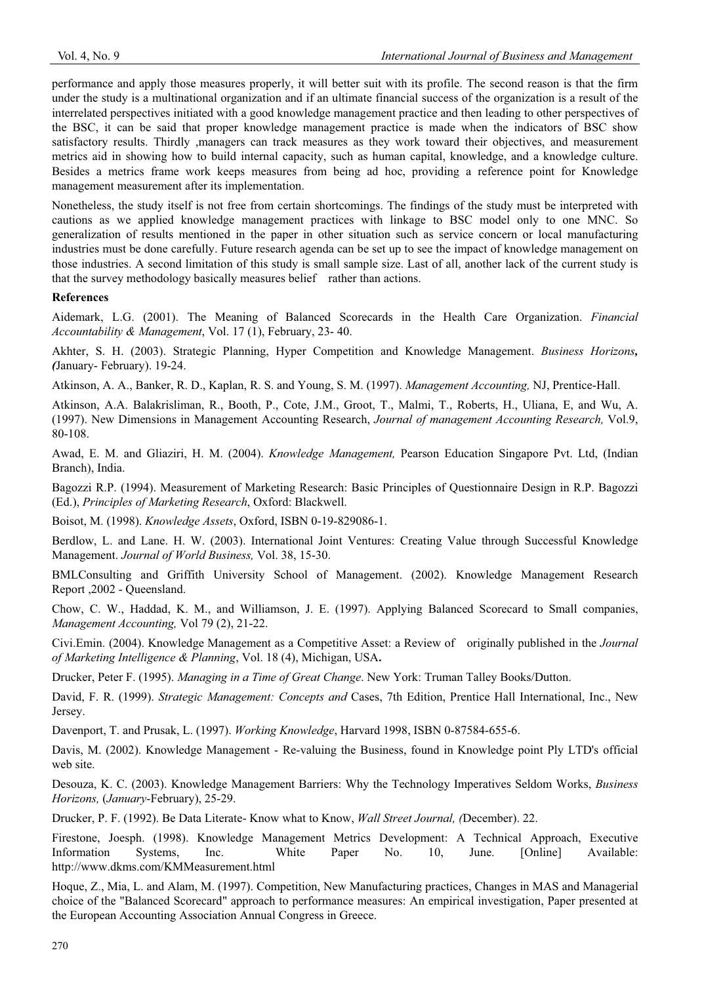performance and apply those measures properly, it will better suit with its profile. The second reason is that the firm under the study is a multinational organization and if an ultimate financial success of the organization is a result of the interrelated perspectives initiated with a good knowledge management practice and then leading to other perspectives of the BSC, it can be said that proper knowledge management practice is made when the indicators of BSC show satisfactory results. Thirdly ,managers can track measures as they work toward their objectives, and measurement metrics aid in showing how to build internal capacity, such as human capital, knowledge, and a knowledge culture. Besides a metrics frame work keeps measures from being ad hoc, providing a reference point for Knowledge management measurement after its implementation.

Nonetheless, the study itself is not free from certain shortcomings. The findings of the study must be interpreted with cautions as we applied knowledge management practices with linkage to BSC model only to one MNC. So generalization of results mentioned in the paper in other situation such as service concern or local manufacturing industries must be done carefully. Future research agenda can be set up to see the impact of knowledge management on those industries. A second limitation of this study is small sample size. Last of all, another lack of the current study is that the survey methodology basically measures belief rather than actions.

#### **References**

Aidemark, L.G. (2001). The Meaning of Balanced Scorecards in the Health Care Organization. *Financial Accountability & Management*, Vol. 17 (1), February, 23- 40.

Akhter, S. H. (2003). Strategic Planning, Hyper Competition and Knowledge Management. *Business Horizons, (*January- February). 19-24.

Atkinson, A. A., Banker, R. D., Kaplan, R. S. and Young, S. M. (1997). *Management Accounting,* NJ, Prentice-Hall.

Atkinson, A.A. Balakrisliman, R., Booth, P., Cote, J.M., Groot, T., Malmi, T., Roberts, H., Uliana, E, and Wu, A. (1997). New Dimensions in Management Accounting Research, *Journal of management Accounting Research,* Vol.9, 80-108.

Awad, E. M. and Gliaziri, H. M. (2004). *Knowledge Management,* Pearson Education Singapore Pvt. Ltd, (Indian Branch), India.

Bagozzi R.P. (1994). Measurement of Marketing Research: Basic Principles of Questionnaire Design in R.P. Bagozzi (Ed.), *Principles of Marketing Research*, Oxford: Blackwell.

Boisot, M. (1998). *Knowledge Assets*, Oxford, ISBN 0-19-829086-1.

Berdlow, L. and Lane. H. W. (2003). International Joint Ventures: Creating Value through Successful Knowledge Management. *Journal of World Business,* Vol. 38, 15-30.

BMLConsulting and Griffith University School of Management. (2002). Knowledge Management Research Report ,2002 - Queensland.

Chow, C. W., Haddad, K. M., and Williamson, J. E. (1997). Applying Balanced Scorecard to Small companies, *Management Accounting,* Vol 79 (2), 21-22.

Civi.Emin. (2004). Knowledge Management as a Competitive Asset: a Review of originally published in the *Journal of Marketing Intelligence & Planning*, Vol. 18 (4), Michigan, USA**.**

Drucker, Peter F. (1995). *Managing in a Time of Great Change*. New York: Truman Talley Books/Dutton.

David, F. R. (1999). *Strategic Management: Concepts and* Cases, 7th Edition, Prentice Hall International, Inc., New Jersey.

Davenport, T. and Prusak, L. (1997). *Working Knowledge*, Harvard 1998, ISBN 0-87584-655-6.

Davis, M. (2002). Knowledge Management - Re-valuing the Business, found in Knowledge point Ply LTD's official web site.

Desouza, K. C. (2003). Knowledge Management Barriers: Why the Technology Imperatives Seldom Works, *Business Horizons,* (*January*-February), 25-29.

Drucker, P. F. (1992). Be Data Literate- Know what to Know, *Wall Street Journal, (*December). 22.

Firestone, Joesph. (1998). Knowledge Management Metrics Development: A Technical Approach, Executive Information Systems, Inc. White Paper No. 10, June. [Online] Available: http://www.dkms.com/KMMeasurement.html

Hoque, Z., Mia, L. and Alam, M. (1997). Competition, New Manufacturing practices, Changes in MAS and Managerial choice of the "Balanced Scorecard" approach to performance measures: An empirical investigation, Paper presented at the European Accounting Association Annual Congress in Greece.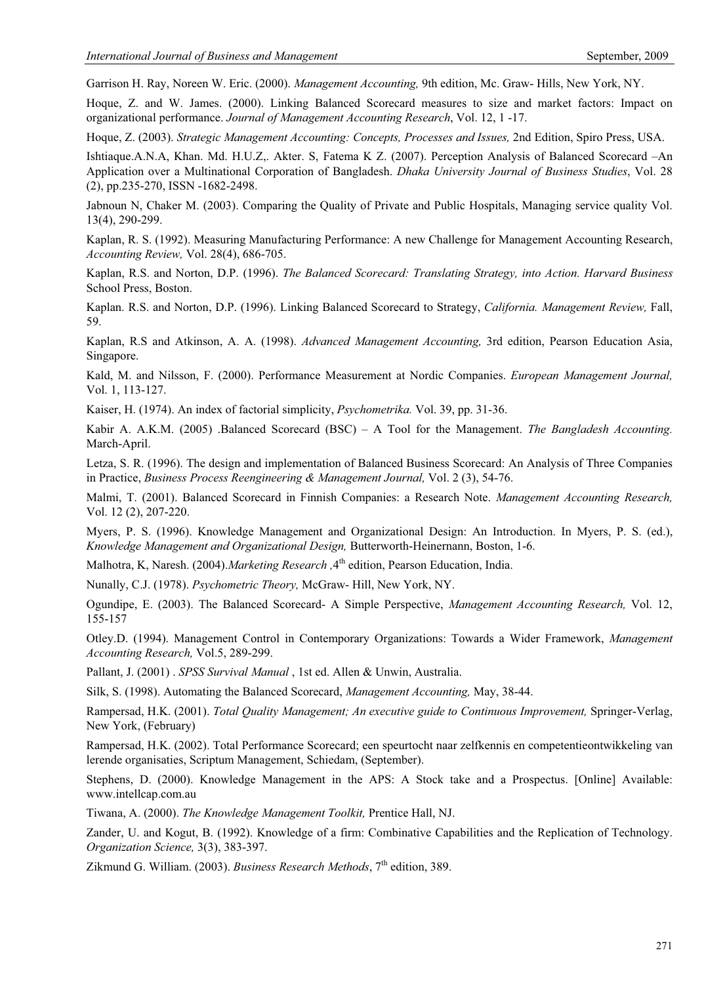Garrison H. Ray, Noreen W. Eric. (2000). *Management Accounting,* 9th edition, Mc. Graw- Hills, New York, NY.

Hoque, Z. and W. James. (2000). Linking Balanced Scorecard measures to size and market factors: Impact on organizational performance. *Journal of Management Accounting Research*, Vol. 12, 1 -17.

Hoque, Z. (2003). *Strategic Management Accounting: Concepts, Processes and Issues,* 2nd Edition, Spiro Press, USA.

Ishtiaque.A.N.A, Khan. Md. H.U.Z,. Akter. S, Fatema K Z. (2007). Perception Analysis of Balanced Scorecard –An Application over a Multinational Corporation of Bangladesh. *Dhaka University Journal of Business Studies*, Vol. 28 (2), pp.235-270, ISSN -1682-2498.

Jabnoun N, Chaker M. (2003). Comparing the Quality of Private and Public Hospitals, Managing service quality Vol. 13(4), 290-299.

Kaplan, R. S. (1992). Measuring Manufacturing Performance: A new Challenge for Management Accounting Research, *Accounting Review,* Vol. 28(4), 686-705.

Kaplan, R.S. and Norton, D.P. (1996). *The Balanced Scorecard: Translating Strategy, into Action. Harvard Business*  School Press, Boston.

Kaplan. R.S. and Norton, D.P. (1996). Linking Balanced Scorecard to Strategy, *California. Management Review,* Fall, 59.

Kaplan, R.S and Atkinson, A. A. (1998). *Advanced Management Accounting,* 3rd edition, Pearson Education Asia, Singapore.

Kald, M. and Nilsson, F. (2000). Performance Measurement at Nordic Companies. *European Management Journal,*  Vol. 1, 113-127.

Kaiser, H. (1974). An index of factorial simplicity, *Psychometrika.* Vol. 39, pp. 31-36.

Kabir A. A.K.M. (2005) .Balanced Scorecard (BSC) – A Tool for the Management. *The Bangladesh Accounting.*  March-April.

Letza, S. R. (1996). The design and implementation of Balanced Business Scorecard: An Analysis of Three Companies in Practice, *Business Process Reengineering & Management Journal,* Vol. 2 (3), 54-76.

Malmi, T. (2001). Balanced Scorecard in Finnish Companies: a Research Note. *Management Accounting Research,*  Vol. 12 (2), 207-220.

Myers, P. S. (1996). Knowledge Management and Organizational Design: An Introduction. In Myers, P. S. (ed.), *Knowledge Management and Organizational Design,* Butterworth-Heinernann, Boston, 1-6.

Malhotra, K, Naresh. (2004). Marketing Research , 4<sup>th</sup> edition, Pearson Education, India.

Nunally, C.J. (1978). *Psychometric Theory,* McGraw- Hill, New York, NY.

Ogundipe, E. (2003). The Balanced Scorecard- A Simple Perspective, *Management Accounting Research,* Vol. 12, 155-157

Otley.D. (1994). Management Control in Contemporary Organizations: Towards a Wider Framework, *Management Accounting Research,* Vol.5, 289-299.

Pallant, J. (2001) . *SPSS Survival Manual* , 1st ed. Allen & Unwin, Australia.

Silk, S. (1998). Automating the Balanced Scorecard, *Management Accounting,* May, 38-44.

Rampersad, H.K. (2001). *Total Quality Management; An executive guide to Continuous Improvement,* Springer-Verlag, New York, (February)

Rampersad, H.K. (2002). Total Performance Scorecard; een speurtocht naar zelfkennis en competentieontwikkeling van lerende organisaties, Scriptum Management, Schiedam, (September).

Stephens, D. (2000). Knowledge Management in the APS: A Stock take and a Prospectus. [Online] Available: www.intellcap.com.au

Tiwana, A. (2000). *The Knowledge Management Toolkit,* Prentice Hall, NJ.

Zander, U. and Kogut, B. (1992). Knowledge of a firm: Combinative Capabilities and the Replication of Technology. *Organization Science,* 3(3), 383-397.

Zikmund G. William. (2003). *Business Research Methods*,  $7<sup>th</sup>$  edition, 389.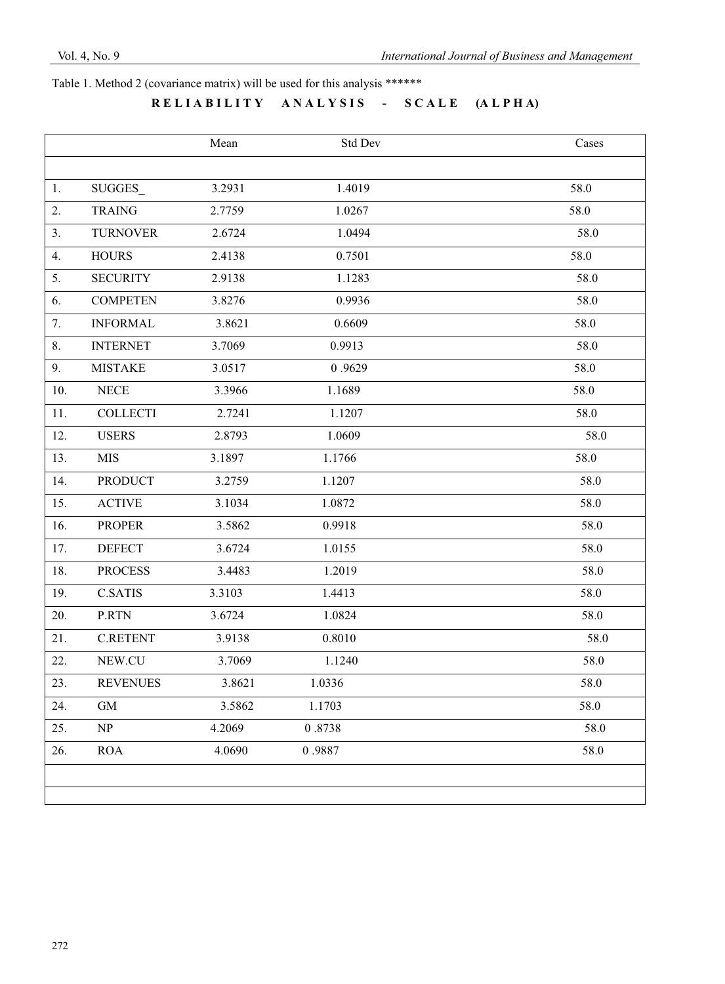# Table 1. Method 2 (covariance matrix) will be used for this analysis \*\*\*\*\*\*

# **RELIABILITY ANALYSIS - SCALE (ALPHA)**

|     |                                 | Mean   | Std Dev | Cases |
|-----|---------------------------------|--------|---------|-------|
|     |                                 |        |         |       |
| 1.  | SUGGES                          | 3.2931 | 1.4019  | 58.0  |
| 2.  | <b>TRAING</b>                   | 2.7759 | 1.0267  | 58.0  |
| 3.  | <b>TURNOVER</b>                 | 2.6724 | 1.0494  | 58.0  |
| 4.  | <b>HOURS</b>                    | 2.4138 | 0.7501  | 58.0  |
| 5.  | <b>SECURITY</b>                 | 2.9138 | 1.1283  | 58.0  |
| 6.  | <b>COMPETEN</b>                 | 3.8276 | 0.9936  | 58.0  |
| 7.  | <b>INFORMAL</b>                 | 3.8621 | 0.6609  | 58.0  |
| 8.  | <b>INTERNET</b>                 | 3.7069 | 0.9913  | 58.0  |
| 9.  | <b>MISTAKE</b>                  | 3.0517 | 0.9629  | 58.0  |
| 10. | $\operatorname{NECE}$           | 3.3966 | 1.1689  | 58.0  |
| 11. | <b>COLLECTI</b>                 | 2.7241 | 1.1207  | 58.0  |
| 12. | <b>USERS</b>                    | 2.8793 | 1.0609  | 58.0  |
| 13. | <b>MIS</b>                      | 3.1897 | 1.1766  | 58.0  |
| 14. | <b>PRODUCT</b>                  | 3.2759 | 1.1207  | 58.0  |
| 15. | <b>ACTIVE</b>                   | 3.1034 | 1.0872  | 58.0  |
| 16. | <b>PROPER</b>                   | 3.5862 | 0.9918  | 58.0  |
| 17. | <b>DEFECT</b>                   | 3.6724 | 1.0155  | 58.0  |
| 18. | <b>PROCESS</b>                  | 3.4483 | 1.2019  | 58.0  |
| 19. | <b>C.SATIS</b>                  | 3.3103 | 1.4413  | 58.0  |
| 20. | P.RTN                           | 3.6724 | 1.0824  | 58.0  |
| 21. | <b>C.RETENT</b>                 | 3.9138 | 0.8010  | 58.0  |
| 22. | NEW.CU                          | 3.7069 | 1.1240  | 58.0  |
| 23. | <b>REVENUES</b>                 | 3.8621 | 1.0336  | 58.0  |
| 24. | $\mbox{GM}$                     | 3.5862 | 1.1703  | 58.0  |
| 25. | $\ensuremath{\text{NP}}\xspace$ | 4.2069 | 0.8738  | 58.0  |
| 26. | ROA                             | 4.0690 | 0.9887  | 58.0  |
|     |                                 |        |         |       |
|     |                                 |        |         |       |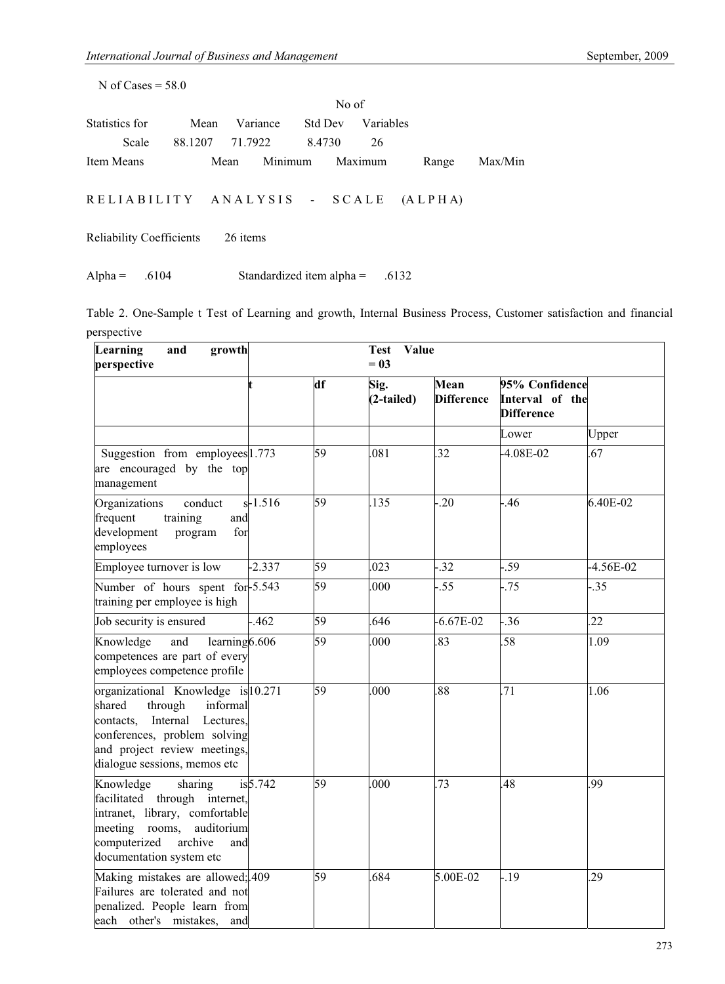N of Cases  $= 58.0$ 

|                |                 |               |                 | No of  |                   |       |         |
|----------------|-----------------|---------------|-----------------|--------|-------------------|-------|---------|
| Statistics for |                 | Mean Variance |                 |        | Std Dev Variables |       |         |
| Scale          | 88.1207 71.7922 |               |                 | 8.4730 | -26               |       |         |
| Item Means     |                 | Mean          | Minimum Maximum |        |                   | Range | Max/Min |
|                |                 |               |                 |        |                   |       |         |

R E L I A B I L I T Y A N A L Y S I S . S C A L E (A L P H A)

Reliability Coefficients 26 items

Alpha = .6104 Standardized item alpha = .6132

Table 2. One-Sample t Test of Learning and growth, Internal Business Process, Customer satisfaction and financial perspective

| Learning<br>growth<br>and<br>perspective                                                                                                                                                                  | Value<br><b>Test</b><br>$= 0.3$ |    |                      |                           |                                                        |               |  |
|-----------------------------------------------------------------------------------------------------------------------------------------------------------------------------------------------------------|---------------------------------|----|----------------------|---------------------------|--------------------------------------------------------|---------------|--|
|                                                                                                                                                                                                           |                                 | df | Sig.<br>$(2-tailed)$ | Mean<br><b>Difference</b> | 95% Confidence<br>Interval of the<br><b>Difference</b> |               |  |
|                                                                                                                                                                                                           |                                 |    |                      |                           | Lower                                                  | Upper         |  |
| Suggestion from employees 1.773<br>are encouraged by the top<br>management                                                                                                                                |                                 | 59 | .081                 | 32                        | $-4.08E - 02$                                          | .67           |  |
| Organizations<br>conduct<br>frequent<br>training<br>and<br>development<br>program<br>for<br>employees                                                                                                     | $s - 1.516$                     | 59 | 135                  | .20                       | $-0.46$                                                | 6.40E-02      |  |
| Employee turnover is low                                                                                                                                                                                  | $-2.337$                        | 59 | 023                  | .32                       | .59                                                    | $-4.56E - 02$ |  |
| Number of hours spent for 5.543<br>training per employee is high                                                                                                                                          |                                 | 59 | .000                 | $-55$                     | $-0.75$                                                | .35           |  |
| Job security is ensured                                                                                                                                                                                   | .462                            | 59 | 646                  | $-6.67E - 02$             | $-0.36$                                                | 22            |  |
| Knowledge<br>and<br>learning $6.606$<br>competences are part of every<br>employees competence profile                                                                                                     |                                 | 59 | .000                 | .83                       | 58                                                     | 1.09          |  |
| organizational Knowledge is 10.271<br>shared<br>informal<br>through<br>Internal<br>contacts,<br>Lectures,<br>conferences, problem solving<br>and project review meetings,<br>dialogue sessions, memos etc |                                 | 59 | .000                 | .88                       | .71                                                    | 1.06          |  |
| Knowledge<br>sharing<br>facilitated through<br>internet,<br>intranet, library, comfortable<br>meeting rooms,<br>auditorium<br>computerized<br>archive<br>and<br>documentation system etc                  | $is\vert 5.742$                 | 59 | .000                 | .73                       | .48                                                    | .99           |  |
| Making mistakes are allowed; 409<br>Failures are tolerated and not<br>penalized. People learn from<br>each other's mistakes,<br>and                                                                       |                                 | 59 | .684                 | $5.00E - 02$              | $-19$                                                  | .29           |  |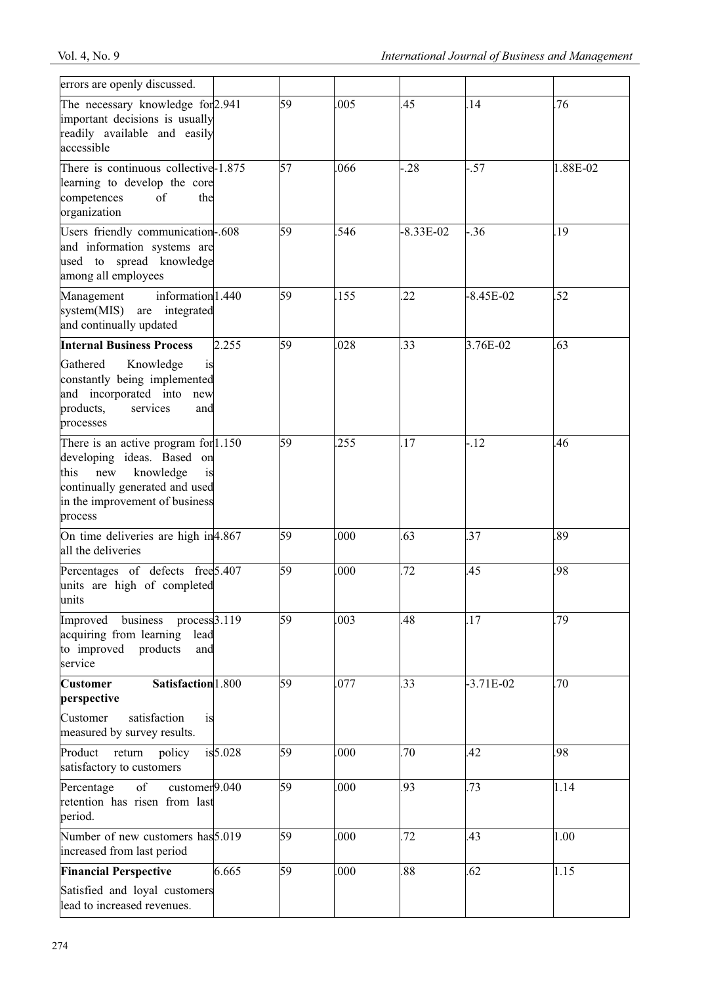| errors are openly discussed.                                                                                                                                                          |             |    |      |               |             |          |
|---------------------------------------------------------------------------------------------------------------------------------------------------------------------------------------|-------------|----|------|---------------|-------------|----------|
|                                                                                                                                                                                       |             |    |      |               |             |          |
| The necessary knowledge for 2.941<br>important decisions is usually<br>readily available and easily<br>accessible                                                                     |             | 59 | .005 | .45           | .14         | .76      |
| There is continuous collective-1.875<br>learning to develop the core<br>competences<br>of<br>the<br>organization                                                                      |             | 57 | .066 | .28           | $-.57$      | 1.88E-02 |
| Users friendly communication-.608<br>and information systems are<br>used to spread knowledge<br>among all employees                                                                   |             | 59 | 546  | $-8.33E - 02$ | $-.36$      | .19      |
| information <sup>1.440</sup><br>Management<br>system(MIS)<br>are integrated<br>and continually updated                                                                                |             | 59 | 155  | .22           | $-8.45E-02$ | .52      |
| <b>Internal Business Process</b>                                                                                                                                                      | 2.255       | 59 | .028 | .33           | 3.76E-02    | .63      |
| Gathered<br>Knowledge<br>is<br>constantly being implemented<br>and incorporated into<br>new<br>products,<br>services<br>and<br>processes                                              |             |    |      |               |             |          |
| There is an active program for $1.150$<br>developing ideas. Based on<br>this<br>new<br>knowledge<br>is<br>continually generated and used<br>in the improvement of business<br>process |             | 59 | .255 | .17           | $-12$       | .46      |
| On time deliveries are high in 4.867<br>all the deliveries                                                                                                                            |             | 59 | .000 | .63           | .37         | .89      |
| Percentages of defects free 5.407<br>units are high of completed<br>units                                                                                                             |             | 59 | .000 | .72           | .45         | .98      |
| Improved business process 3.119<br>acquiring from learning<br>lead<br>to improved<br>products<br>and<br>service                                                                       |             | 59 | .003 | 48            | .17         | 79       |
| Satisfaction 1.800<br><b>Customer</b>                                                                                                                                                 |             | 59 | .077 | .33           | $-3.71E-02$ | .70      |
| perspective<br>satisfaction<br>Customer<br>is<br>measured by survey results.                                                                                                          |             |    |      |               |             |          |
| policy<br>Product<br>return<br>satisfactory to customers                                                                                                                              | $is\,5.028$ | 59 | .000 | .70           | .42         | .98      |
| of<br>$\text{customer}$ $9.040$<br>Percentage<br>retention has risen from last<br>period.                                                                                             |             | 59 | .000 | .93           | .73         | 1.14     |
| Number of new customers has 5.019<br>increased from last period                                                                                                                       |             | 59 | .000 | .72           | .43         | 1.00     |
| <b>Financial Perspective</b>                                                                                                                                                          | 6.665       | 59 | .000 | .88           | .62         | 1.15     |
| Satisfied and loyal customers<br>lead to increased revenues.                                                                                                                          |             |    |      |               |             |          |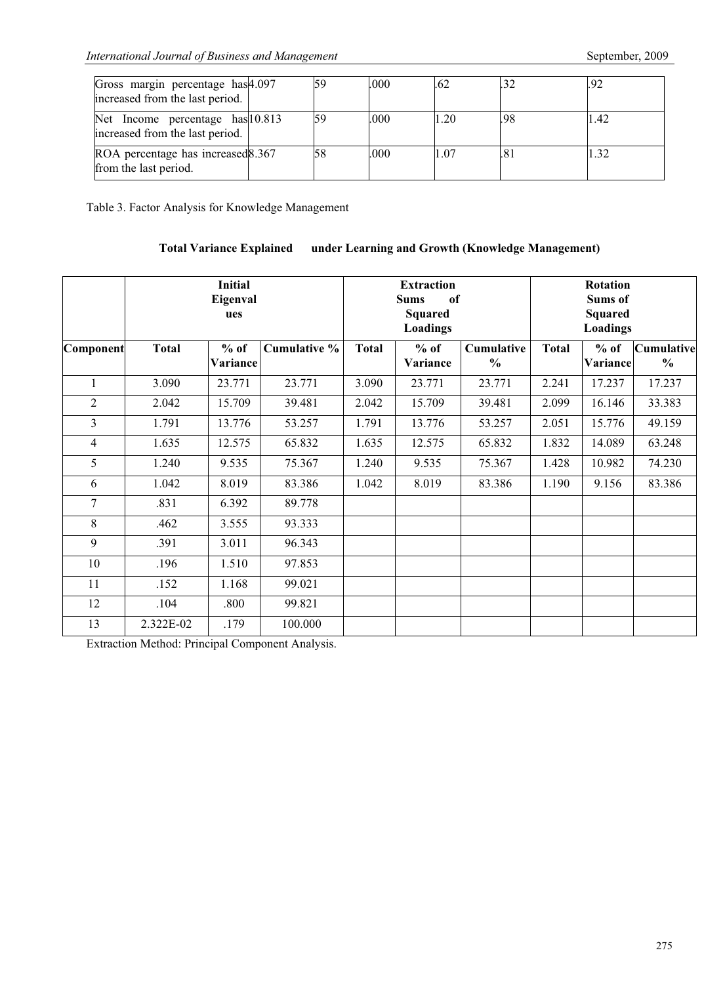| Gross margin percentage has 4.097                                   | 59 | .000 | .62  | .32 | .92  |
|---------------------------------------------------------------------|----|------|------|-----|------|
| increased from the last period.                                     |    |      |      |     |      |
| Net Income percentage has 10.813<br>increased from the last period. | 59 | .000 | 1.20 | .98 | 1.42 |
| ROA percentage has increased 8.367<br>from the last period.         | 58 | .000 | 1.07 | .81 | 1.32 |
|                                                                     |    |      |      |     |      |

Table 3. Factor Analysis for Knowledge Management

# **Total Variance Explained under Learning and Growth (Knowledge Management)**

|                | <b>Initial</b><br>Eigenval<br>ues |                    |              |              | <b>Extraction</b><br><b>Sums</b><br>of<br><b>Squared</b><br>Loadings |                                    | <b>Rotation</b><br><b>Sums of</b><br><b>Squared</b><br>Loadings |                    |                             |
|----------------|-----------------------------------|--------------------|--------------|--------------|----------------------------------------------------------------------|------------------------------------|-----------------------------------------------------------------|--------------------|-----------------------------|
| Component      | <b>Total</b>                      | $%$ of<br>Variance | Cumulative % | <b>Total</b> | $%$ of<br>Variance                                                   | <b>Cumulative</b><br>$\frac{0}{0}$ | <b>Total</b>                                                    | $%$ of<br>Variance | Cumulative<br>$\frac{0}{0}$ |
| 1              | 3.090                             | 23.771             | 23.771       | 3.090        | 23.771                                                               | 23.771                             | 2.241                                                           | 17.237             | 17.237                      |
| $\overline{2}$ | 2.042                             | 15.709             | 39.481       | 2.042        | 15.709                                                               | 39.481                             | 2.099                                                           | 16.146             | 33.383                      |
| 3              | 1.791                             | 13.776             | 53.257       | 1.791        | 13.776                                                               | 53.257                             | 2.051                                                           | 15.776             | 49.159                      |
| $\overline{4}$ | 1.635                             | 12.575             | 65.832       | 1.635        | 12.575                                                               | 65.832                             | 1.832                                                           | 14.089             | 63.248                      |
| 5              | 1.240                             | 9.535              | 75.367       | 1.240        | 9.535                                                                | 75.367                             | 1.428                                                           | 10.982             | 74.230                      |
| 6              | 1.042                             | 8.019              | 83.386       | 1.042        | 8.019                                                                | 83.386                             | 1.190                                                           | 9.156              | 83.386                      |
| 7              | .831                              | 6.392              | 89.778       |              |                                                                      |                                    |                                                                 |                    |                             |
| 8              | .462                              | 3.555              | 93.333       |              |                                                                      |                                    |                                                                 |                    |                             |
| 9              | .391                              | 3.011              | 96.343       |              |                                                                      |                                    |                                                                 |                    |                             |
| 10             | .196                              | 1.510              | 97.853       |              |                                                                      |                                    |                                                                 |                    |                             |
| 11             | .152                              | 1.168              | 99.021       |              |                                                                      |                                    |                                                                 |                    |                             |
| 12             | .104                              | .800               | 99.821       |              |                                                                      |                                    |                                                                 |                    |                             |
| 13             | 2.322E-02                         | .179               | 100.000      |              |                                                                      |                                    |                                                                 |                    |                             |

Extraction Method: Principal Component Analysis.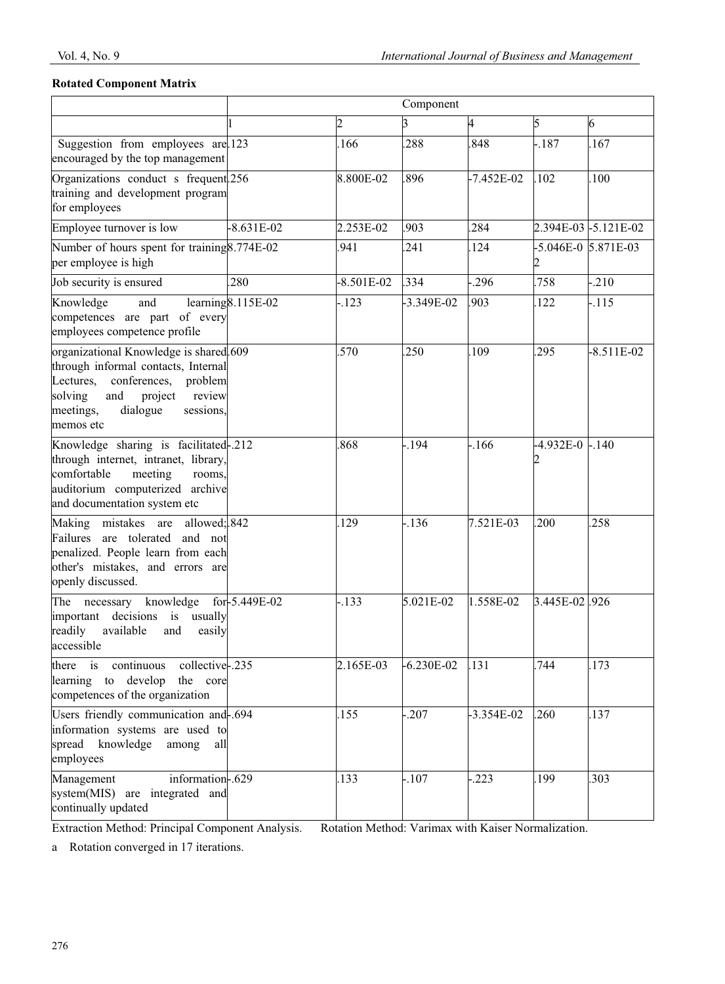# **Rotated Component Matrix**

|                                                                                                                                                                                                              | Component            |              |                |              |               |                        |  |
|--------------------------------------------------------------------------------------------------------------------------------------------------------------------------------------------------------------|----------------------|--------------|----------------|--------------|---------------|------------------------|--|
|                                                                                                                                                                                                              |                      | 12           | 3              | 4            | 5             | 6                      |  |
| Suggestion from employees are 123<br>encouraged by the top management                                                                                                                                        |                      | .166         | .288           | .848         | $-187$        | 167                    |  |
| Organizations conduct s frequent. 256<br>training and development program<br>for employees                                                                                                                   |                      | 8.800E-02    | 896            | $-7.452E-02$ | 102           | 100                    |  |
| Employee turnover is low                                                                                                                                                                                     | $-8.631E - 02$       | 2.253E-02    | .903           | .284         |               | $2.394E-03$ -5.121E-02 |  |
| Number of hours spent for training 8.774E-02<br>per employee is high                                                                                                                                         |                      | .941         | .241           | 124          |               | -5.046E-0 5.871E-03    |  |
| Job security is ensured                                                                                                                                                                                      | .280                 | $-8.501E-02$ | .334           | .296         | .758          | .210                   |  |
| Knowledge<br>and<br>competences are part of every<br>employees competence profile                                                                                                                            | learning $8.115E-02$ | $-123$       | $-3.349E - 02$ | .903         | 122           | $-.115$                |  |
| organizational Knowledge is shared 609<br>through informal contacts, Internal<br>Lectures, conferences,<br>problem<br>and<br>project<br>review<br>solving<br>dialogue<br>meetings,<br>sessions,<br>memos etc |                      | .570         | .250           | .109         | .295          | $-8.511E-02$           |  |
| Knowledge sharing is facilitated-.212<br>through internet, intranet, library,<br>comfortable<br>meeting<br>rooms,<br>auditorium computerized archive<br>and documentation system etc                         |                      | 868          | $-194$         | $-166$       | 4.932E-0      | $-.140$                |  |
| Making mistakes are<br>allowed; 842<br>Failures are tolerated and not<br>penalized. People learn from each<br>other's mistakes, and errors are<br>openly discussed.                                          |                      | 129          | $-136$         | 7.521E-03    | .200          | .258                   |  |
| necessary knowledge for 5.449E-02<br>The<br>decisions<br>is<br>important<br>usually<br>readily<br>available<br>and<br>easily<br>accessible                                                                   |                      | $-.133$      | 5.021E-02      | 1.558E-02    | 3.445E-02.926 |                        |  |
| collective-.235<br>continuous<br>there<br>is<br>learning to develop<br>the core<br>competences of the organization                                                                                           |                      | 2.165E-03    | $-6.230E - 02$ | .131         | .744          | .173                   |  |
| Users friendly communication and-.694<br>information systems are used to<br>spread knowledge<br>among<br>all<br>employees                                                                                    |                      | 155          | $-207$         | $-3.354E-02$ | .260          | .137                   |  |
| information-.629<br>Management<br>system(MIS) are integrated and<br>continually updated                                                                                                                      |                      | .133         | $-.107$        | .223         | .199          | .303                   |  |

Extraction Method: Principal Component Analysis. Rotation Method: Varimax with Kaiser Normalization.

a Rotation converged in 17 iterations.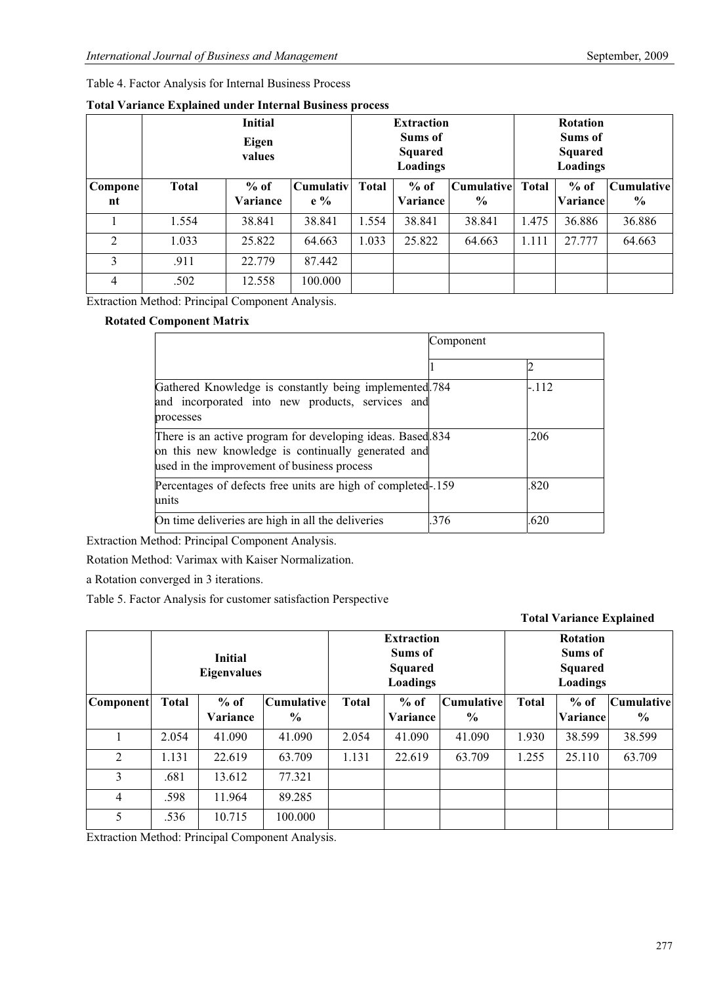# Table 4. Factor Analysis for Internal Business Process

|                      | <b>Initial</b><br>Eigen<br>values |                    |                           | <b>Extraction</b><br>Sums of<br><b>Squared</b><br>Loadings |                    |                              | <b>Rotation</b><br>Sums of<br><b>Squared</b><br><b>Loadings</b> |                    |                              |
|----------------------|-----------------------------------|--------------------|---------------------------|------------------------------------------------------------|--------------------|------------------------------|-----------------------------------------------------------------|--------------------|------------------------------|
| <b>Compone</b><br>nt | <b>Total</b>                      | $%$ of<br>Variance | <b>Cumulativ</b><br>$e\%$ | <b>Total</b>                                               | $%$ of<br>Variance | Cumulative <br>$\frac{6}{6}$ | <b>Total</b>                                                    | $%$ of<br>Variance | Cumulative <br>$\frac{0}{0}$ |
|                      | 1.554                             | 38.841             | 38.841                    | 1.554                                                      | 38.841             | 38.841                       | 1.475                                                           | 36.886             | 36.886                       |
| $\mathfrak{D}$       | 1.033                             | 25.822             | 64.663                    | 1.033                                                      | 25.822             | 64.663                       | 1.111                                                           | 27.777             | 64.663                       |
| 3                    | .911                              | 22.779             | 87.442                    |                                                            |                    |                              |                                                                 |                    |                              |
| 4                    | .502                              | 12.558             | 100.000                   |                                                            |                    |                              |                                                                 |                    |                              |

Extraction Method: Principal Component Analysis.

# **Rotated Component Matrix**

|                                                                                                                                                                 | Component |         |
|-----------------------------------------------------------------------------------------------------------------------------------------------------------------|-----------|---------|
|                                                                                                                                                                 |           |         |
| Gathered Knowledge is constantly being implemented. 784<br>and incorporated into new products, services and<br>processes                                        |           | $-.112$ |
| There is an active program for developing ideas. Based 834<br>on this new knowledge is continually generated and<br>used in the improvement of business process |           | .206    |
| Percentages of defects free units are high of completed-.159<br>lunits                                                                                          |           | .820    |
| On time deliveries are high in all the deliveries                                                                                                               | .376      | .620    |

Extraction Method: Principal Component Analysis.

Rotation Method: Varimax with Kaiser Normalization.

a Rotation converged in 3 iterations.

Table 5. Factor Analysis for customer satisfaction Perspective

# **Total Variance Explained**

|                | <b>Initial</b><br><b>Eigenvalues</b> |                    |                           | <b>Extraction</b><br>Sums of<br><b>Squared</b><br>Loadings |                    |                              | <b>Rotation</b><br>Sums of<br><b>Squared</b><br><b>Loadings</b> |                    |                           |
|----------------|--------------------------------------|--------------------|---------------------------|------------------------------------------------------------|--------------------|------------------------------|-----------------------------------------------------------------|--------------------|---------------------------|
| Component      | <b>Total</b>                         | $%$ of<br>Variance | <b>Cumulative</b><br>$\%$ | <b>Total</b>                                               | $%$ of<br>Variance | Cumulative <br>$\frac{0}{0}$ | <b>Total</b>                                                    | $%$ of<br>Variance | <b>Cumulative</b><br>$\%$ |
| 1              | 2.054                                | 41.090             | 41.090                    | 2.054                                                      | 41.090             | 41.090                       | 1.930                                                           | 38.599             | 38.599                    |
| 2              | 1.131                                | 22.619             | 63.709                    | 1.131                                                      | 22.619             | 63.709                       | 1.255                                                           | 25.110             | 63.709                    |
| 3              | .681                                 | 13.612             | 77.321                    |                                                            |                    |                              |                                                                 |                    |                           |
| $\overline{4}$ | .598                                 | 11.964             | 89.285                    |                                                            |                    |                              |                                                                 |                    |                           |
| 5              | .536                                 | 10.715             | 100.000                   |                                                            |                    |                              |                                                                 |                    |                           |

Extraction Method: Principal Component Analysis.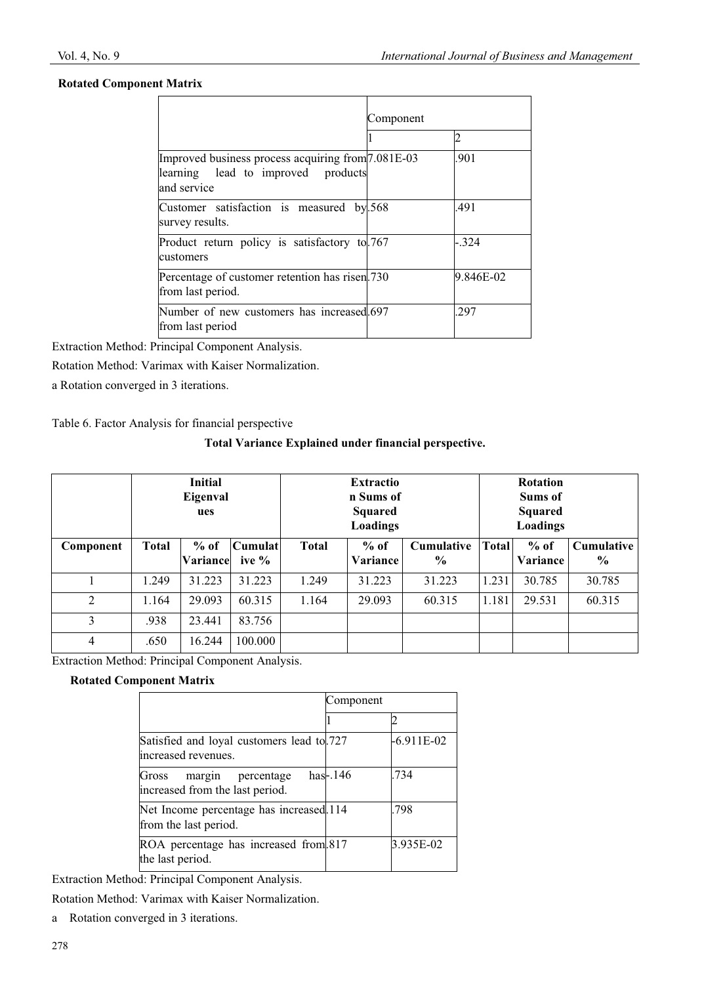#### **Rotated Component Matrix**

|                                                                                                         | Component |           |
|---------------------------------------------------------------------------------------------------------|-----------|-----------|
|                                                                                                         |           |           |
| Improved business process acquiring from 7.081E-03<br>learning lead to improved products<br>and service |           | .901      |
| Customer satisfaction is measured by 568<br>survey results.                                             |           | .491      |
| Product return policy is satisfactory to 767<br>customers                                               |           | - 324     |
| Percentage of customer retention has risen. 730<br>from last period.                                    |           | 9.846E-02 |
| Number of new customers has increased 697<br>from last period                                           |           | .297      |

Extraction Method: Principal Component Analysis.

Rotation Method: Varimax with Kaiser Normalization.

a Rotation converged in 3 iterations.

Table 6. Factor Analysis for financial perspective

# **Total Variance Explained under financial perspective.**

|                | <b>Initial</b><br>Eigenval<br>ues |                    |                      | <b>Extractio</b><br>n Sums of<br><b>Squared</b><br>Loadings |                    |                                    | <b>Rotation</b><br>Sums of<br><b>Squared</b><br>Loadings |                    |                                    |
|----------------|-----------------------------------|--------------------|----------------------|-------------------------------------------------------------|--------------------|------------------------------------|----------------------------------------------------------|--------------------|------------------------------------|
| Component      | <b>Total</b>                      | $%$ of<br>Variance | Cumulat <br>ive $\%$ | <b>Total</b>                                                | $%$ of<br>Variance | <b>Cumulative</b><br>$\frac{6}{6}$ | <b>Total</b>                                             | $%$ of<br>Variance | <b>Cumulative</b><br>$\frac{0}{0}$ |
|                | 1.249                             | 31.223             | 31.223               | 1.249                                                       | 31.223             | 31.223                             | 1.231                                                    | 30.785             | 30.785                             |
| $\mathfrak{D}$ | 1.164                             | 29.093             | 60.315               | 1.164                                                       | 29.093             | 60.315                             | 1.181                                                    | 29.531             | 60.315                             |
| 3              | .938                              | 23.441             | 83.756               |                                                             |                    |                                    |                                                          |                    |                                    |
| 4              | .650                              | 16.244             | 100.000              |                                                             |                    |                                    |                                                          |                    |                                    |

Extraction Method: Principal Component Analysis.

# **Rotated Component Matrix**

|                                                                  | Component   |              |  |
|------------------------------------------------------------------|-------------|--------------|--|
|                                                                  |             |              |  |
| Satisfied and loyal customers lead to 727<br>increased revenues. |             | $-6.911E-02$ |  |
| margin percentage<br>Gross<br>increased from the last period.    | has- $.146$ | .734         |  |
| Net Income percentage has increased 114<br>from the last period. |             | .798         |  |
| ROA percentage has increased from 817<br>the last period.        |             | 3.935E-02    |  |

Extraction Method: Principal Component Analysis.

Rotation Method: Varimax with Kaiser Normalization.

a Rotation converged in 3 iterations.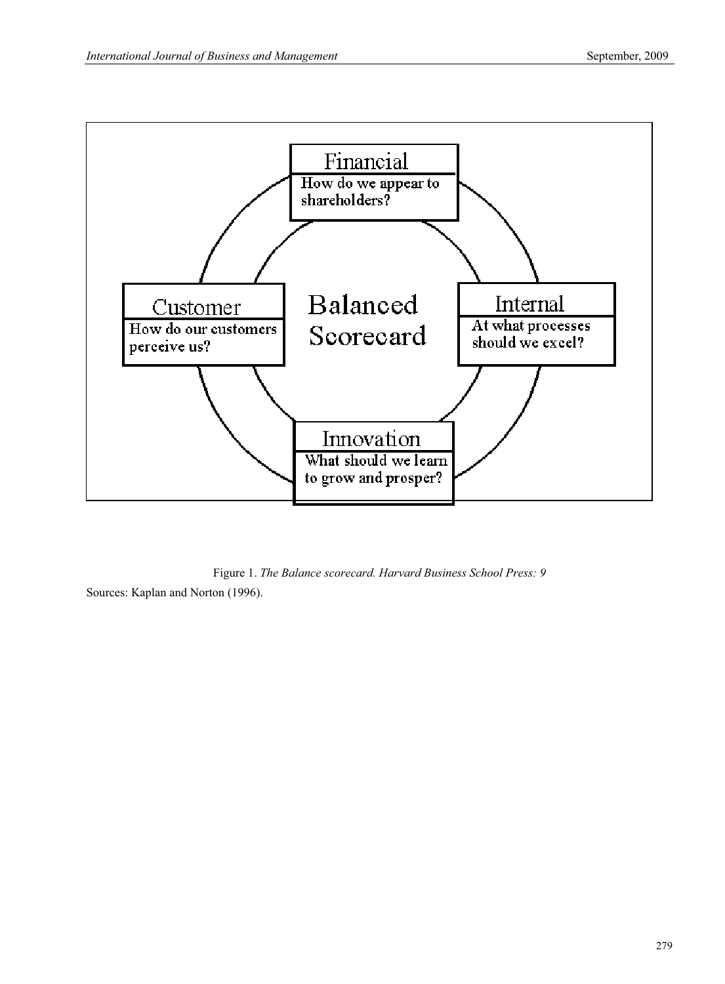

Figure 1. *The Balance scorecard. Harvard Business School Press: 9*  Sources: Kaplan and Norton (1996).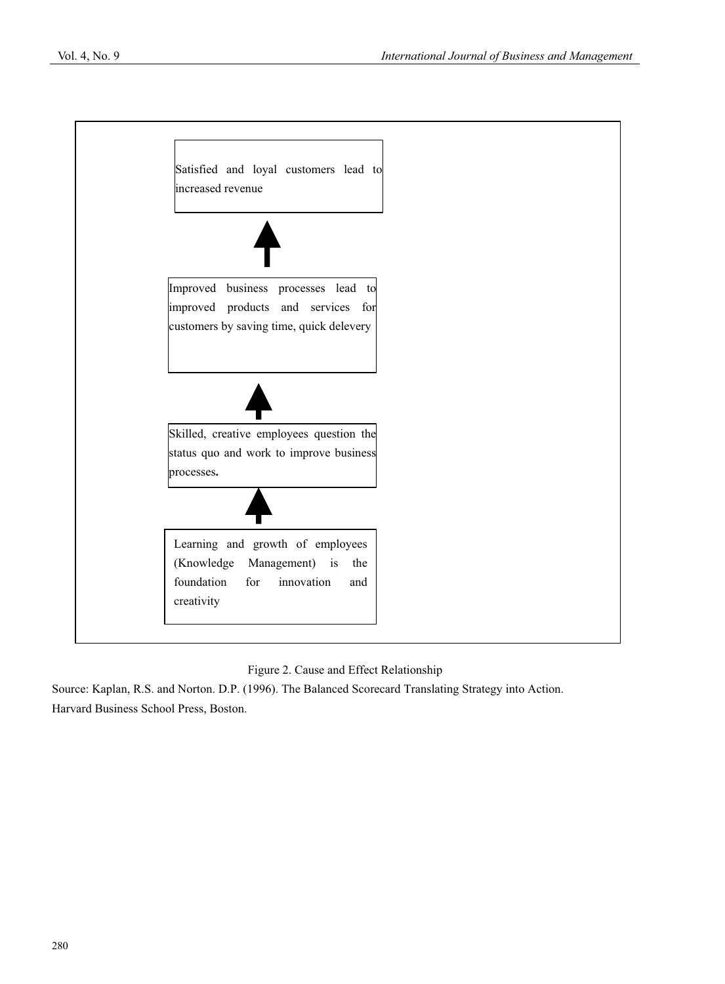

Figure 2. Cause and Effect Relationship

Source: Kaplan, R.S. and Norton. D.P. (1996). The Balanced Scorecard Translating Strategy into Action. Harvard Business School Press, Boston.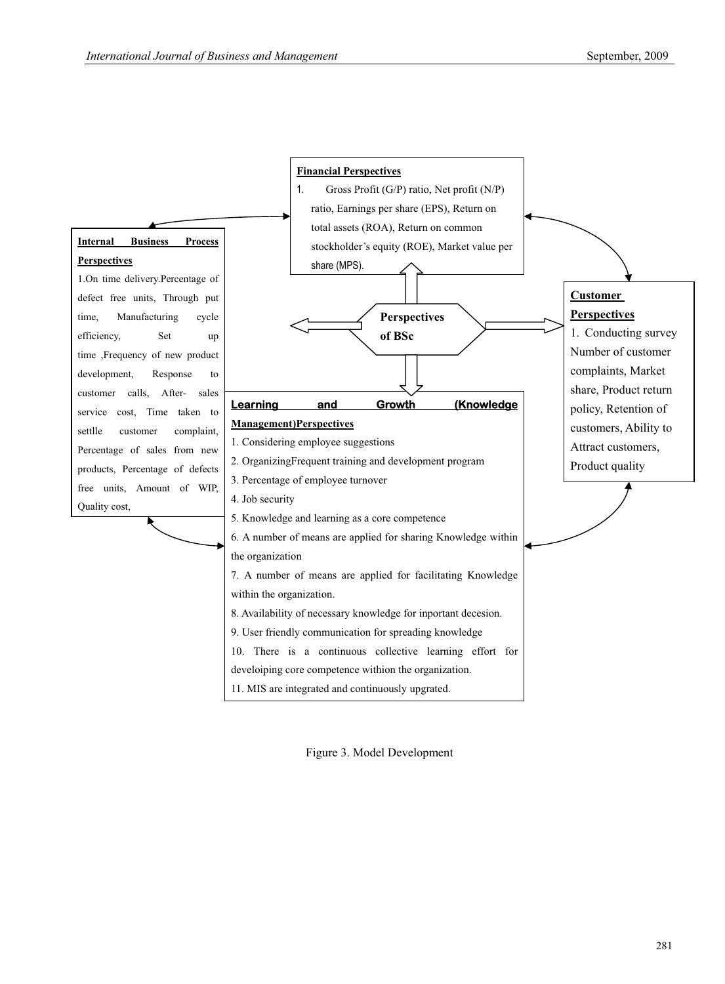

Figure 3. Model Development